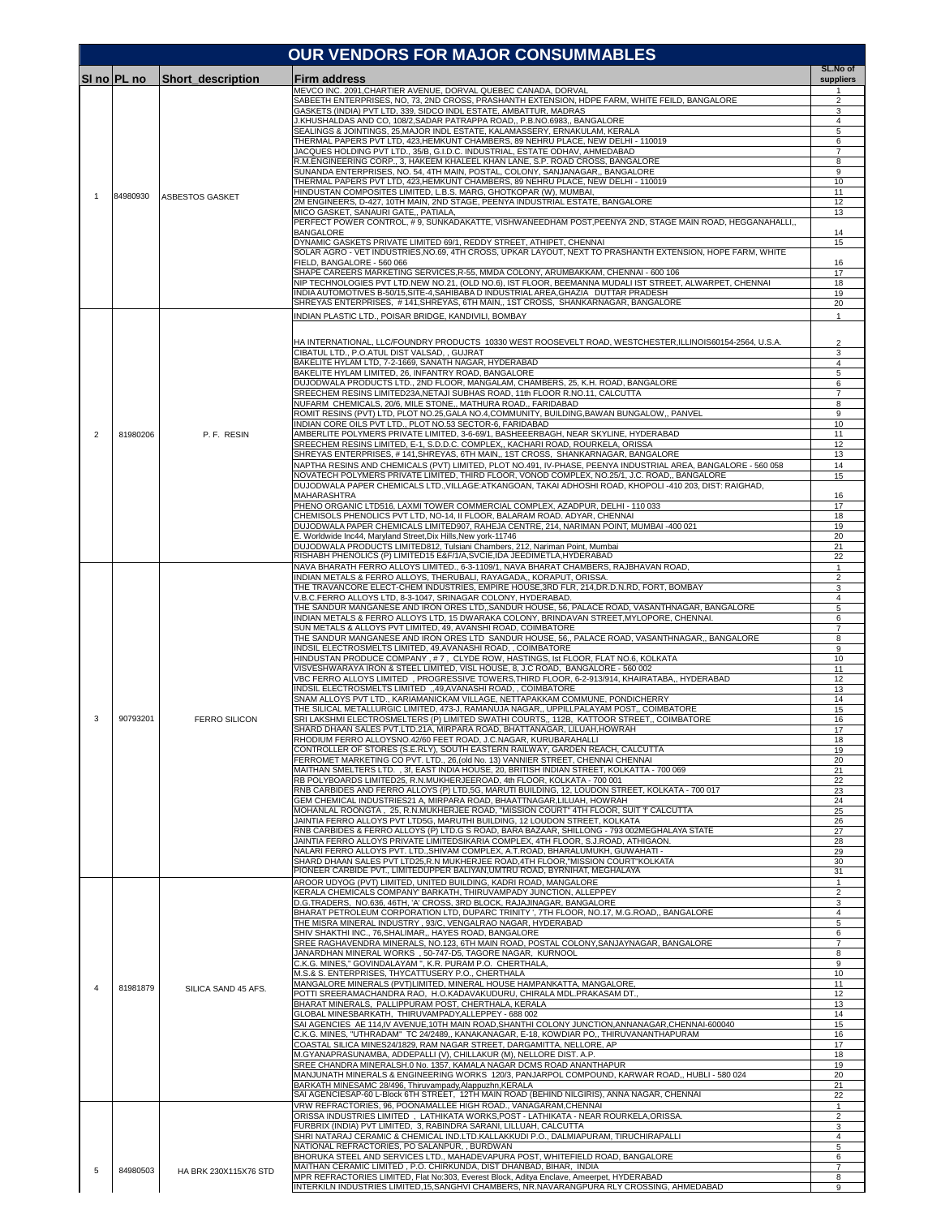|              |             |                          | <b>OUR VENDORS FOR MAJOR CONSUMMABLES</b>                                                                                                                                                                                                                                              |                                |
|--------------|-------------|--------------------------|----------------------------------------------------------------------------------------------------------------------------------------------------------------------------------------------------------------------------------------------------------------------------------------|--------------------------------|
|              | SI no PL no | <b>Short description</b> | Firm address                                                                                                                                                                                                                                                                           | SL.No of<br>suppliers          |
|              |             |                          | MEVCO INC. 2091, CHARTIER AVENUE, DORVAL QUEBEC CANADA, DORVAL                                                                                                                                                                                                                         | -1                             |
|              |             |                          | SABEETH ENTERPRISES, NO, 73, 2ND CROSS, PRASHANTH EXTENSION, HDPE FARM, WHITE FEILD, BANGALORE<br>GASKETS (INDIA) PVT LTD, 339, SIDCO INDL ESTATE, AMBATTUR, MADRAS                                                                                                                    | 2<br>3                         |
|              |             |                          | J.KHUSHALDAS AND CO, 108/2,SADAR PATRAPPA ROAD,, P.B.NO.6983,, BANGALORE<br>SEALINGS & JOINTINGS, 25,MAJOR INDL ESTATE, KALAMASSERY, ERNAKULAM, KERALA                                                                                                                                 | $\overline{4}$<br>5            |
|              |             |                          | THERMAL PAPERS PVT LTD, 423,HEMKUNT CHAMBERS, 89 NEHRU PLACE, NEW DELHI - 110019<br>JACQUES HOLDING PVT LTD., 35/B, G.I.D.C. INDUSTRIAL, ESTATE ODHAV, AHMEDABAD                                                                                                                       | 6<br>$\overline{7}$            |
|              |             |                          | R.M.ENGINEERING CORP., 3, HAKEEM KHALEEL KHAN LANE, S.P. ROAD CROSS, BANGALORE                                                                                                                                                                                                         | 8                              |
|              |             |                          | SUNANDA ENTERPRISES, NO. 54, 4TH MAIN, POSTAL, COLONY, SANJANAGAR,, BANGALORE<br>THERMAL PAPERS PVT LTD, 423,HEMKUNT CHAMBERS, 89 NEHRU PLACE, NEW DELHI - 110019                                                                                                                      | 9<br>10                        |
| $\mathbf{1}$ | 84980930    | ASBESTOS GASKET          | HINDUSTAN COMPOSITES LIMITED, L.B.S. MARG, GHOTKOPAR (W), MUMBAI,<br>2M ENGINEERS, D-427, 10TH MAIN, 2ND STAGE, PEENYA INDUSTRIAL ESTATE, BANGALORE                                                                                                                                    | 11<br>12                       |
|              |             |                          | MICO GASKET, SANAURI GATE,, PATIALA,                                                                                                                                                                                                                                                   | 13                             |
|              |             |                          | PERFECT POWER CONTROL, #9, SUNKADAKATTE, VISHWANEEDHAM POST, PEENYA 2ND, STAGE MAIN ROAD, HEGGANAHALLI,,<br><b>BANGALORE</b>                                                                                                                                                           | 14                             |
|              |             |                          | DYNAMIC GASKETS PRIVATE LIMITED 69/1, REDDY STREET, ATHIPET, CHENNAI<br>SOLAR AGRO - VET INDUSTRIES, NO.69, 4TH CROSS, UPKAR LAYOUT, NEXT TO PRASHANTH EXTENSION, HOPE FARM, WHITE<br>FIELD, BANGALORE - 560 066                                                                       | 15<br>16                       |
|              |             |                          | SHAPE CAREERS MARKETING SERVICES, R-55, MMDA COLONY, ARUMBAKKAM, CHENNAI - 600 106<br>NIP TECHNOLOGIES PVT LTD.NEW NO.21, (OLD NO.6), IST FLOOR, BEEMANNA MUDALI IST STREET, ALWARPET, CHENNAI<br>INDIA AUTOMOTIVES B-50/15, SITE-4, SAHIBABA D INDUSTRIAL AREA, GHAZIA DUTTAR PRADESH | 17<br>18<br>19                 |
|              |             |                          | SHREYAS ENTERPRISES, #141,SHREYAS, 6TH MAIN,, 1ST CROSS, SHANKARNAGAR, BANGALORE<br>INDIAN PLASTIC LTD., POISAR BRIDGE, KANDIVILI, BOMBAY                                                                                                                                              | 20<br>$\mathbf{1}$             |
|              |             |                          |                                                                                                                                                                                                                                                                                        |                                |
|              |             |                          | HA INTERNATIONAL, LLC/FOUNDRY PRODUCTS 10330 WEST ROOSEVELT ROAD, WESTCHESTER, ILLINOIS60154-2564, U.S.A.<br>CIBATUL LTD., P.O.ATUL DIST VALSAD, , GUJRAT                                                                                                                              | $\overline{2}$<br>3            |
|              |             |                          | BAKELITE HYLAM LTD, 7-2-1669, SANATH NAGAR, HYDERABAD<br>BAKELITE HYLAM LIMITED, 26, INFANTRY ROAD, BANGALORE                                                                                                                                                                          | $\overline{4}$<br>5            |
|              |             |                          | DUJODWALA PRODUCTS LTD., 2ND FLOOR, MANGALAM, CHAMBERS, 25, K.H. ROAD, BANGALORE<br>SREECHEM RESINS LIMITED23A, NETAJI SUBHAS ROAD, 11th FLOOR R.NO.11, CALCUTTA                                                                                                                       | 6<br>$\overline{7}$            |
|              |             |                          | NUFARM CHEMICALS, 20/6, MILE STONE,, MATHURA ROAD,, FARIDABAD                                                                                                                                                                                                                          | 8                              |
|              |             |                          | ROMIT RESINS (PVT) LTD, PLOT NO.25,GALA NO.4,COMMUNITY, BUILDING,BAWAN BUNGALOW,, PANVEL<br>INDIAN CORE OILS PVT LTD., PLOT NO.53 SECTOR-6, FARIDABAD                                                                                                                                  | 9<br>10                        |
| 2            | 81980206    | P. F. RESIN              | AMBERLITE POLYMERS PRIVATE LIMITED, 3-6-69/1, BASHEEERBAGH, NEAR SKYLINE, HYDERABAD<br>SREECHEM RESINS LIMITED, E-1, S.D.D.C. COMPLEX,, KACHARI ROAD, ROURKELA, ORISSA                                                                                                                 | 11<br>12                       |
|              |             |                          | SHREYAS ENTERPRISES, #141, SHREYAS, 6TH MAIN,, 1ST CROSS, SHANKARNAGAR, BANGALORE                                                                                                                                                                                                      | 13                             |
|              |             |                          | NAPTHA RESINS AND CHEMICALS (PVT) LIMITED, PLOT NO.491, IV-PHASE, PEENYA INDUSTRIAL AREA, BANGALORE - 560 058<br>NOVATECH POLYMERS PRIVATE LIMITED. THIRD FLOOR, VONOD COMPLEX, NO.25/1, J.C. ROAD., BANGALORE                                                                         | 14<br>15                       |
|              |             |                          | DUJODWALA PAPER CHEMICALS LTD., VILLAGE: ATKANGOAN, TAKAI ADHOSHI ROAD, KHOPOLI -410 203, DIST: RAIGHAD,<br>MAHARASHTRA                                                                                                                                                                |                                |
|              |             |                          | PHENO ORGANIC LTD516, LAXMI TOWER COMMERCIAL COMPLEX, AZADPUR, DELHI - 110 033                                                                                                                                                                                                         | 16<br>17                       |
|              |             |                          | CHEMISOLS PHENOLICS PVT LTD, NO-14, II FLOOR, BALARAM ROAD. ADYAR, CHENNAI<br>DUJODWALA PAPER CHEMICALS LIMITED907, RAHEJA CENTRE, 214, NARIMAN POINT, MUMBAI -400 021                                                                                                                 | 18<br>19                       |
|              |             |                          | E. Worldwide Inc44, Maryland Street, Dix Hills, New york-11746<br>DUJODWALA PRODUCTS LIMITED812, Tulsiani Chambers, 212, Nariman Point, Mumbai                                                                                                                                         | 20<br>21                       |
|              |             |                          | RISHABH PHENOLICS (P) LIMITED15 E&F/1/A, SVCIE, IDA JEEDIMETLA, HYDERABAD                                                                                                                                                                                                              | 22                             |
|              |             |                          | NAVA BHARATH FERRO ALLOYS LIMITED., 6-3-1109/1, NAVA BHARAT CHAMBERS, RAJBHAVAN ROAD,<br>INDIAN METALS & FERRO ALLOYS, THERUBALI, RAYAGADA,, KORAPUT, ORISSA                                                                                                                           | $\mathbf{1}$<br>$\overline{2}$ |
|              |             |                          | THE TRAVANCORE ELECT-CHEM INDUSTRIES, EMPIRE HOUSE,3RD FLR, 214,DR.D.N.RD, FORT, BOMBAY<br>V.B.C.FERRO ALLOYS LTD, 8-3-1047, SRINAGAR COLONY, HYDERABAD.                                                                                                                               | 3<br>4                         |
|              | 90793201    | <b>FERRO SILICON</b>     | THE SANDUR MANGANESE AND IRON ORES LTD,, SANDUR HOUSE, 56, PALACE ROAD, VASANTHNAGAR, BANGALORE                                                                                                                                                                                        | 5                              |
|              |             |                          | INDIAN METALS & FERRO ALLOYS LTD, 15 DWARAKA COLONY, BRINDAVAN STREET, MYLOPORE, CHENNAI.<br>SUN METALS & ALLOYS PVT LIMITED, 49, AVANSHI ROAD, COIMBATORE                                                                                                                             | 6<br>$\overline{7}$            |
|              |             |                          | THE SANDUR MANGANESE AND IRON ORES LTD SANDUR HOUSE, 56,, PALACE ROAD, VASANTHNAGAR,, BANGALORE<br>INDSIL ELECTROSMELTS LIMITED, 49,AVANASHI ROAD, , COIMBATORE                                                                                                                        | 8<br>9                         |
|              |             |                          | HINDUSTAN PRODUCE COMPANY, #7, CLYDE ROW, HASTINGS, Ist FLOOR, FLAT NO.6, KOLKATA                                                                                                                                                                                                      | 10                             |
|              |             |                          | VISVESHWARAYA IRON & STEEL LIMITED, VISL HOUSE, 8, J.C ROAD, BANGALORE - 560 002<br>VBC FERRO ALLOYS LIMITED,PROGRESSIVE TOWERS,THIRD FLOOR, 6-2-913/914, KHAIRATABA,, HYDERABAD                                                                                                       | 11<br>12                       |
|              |             |                          | INDSIL ELECTROSMELTS LIMITED "49,AVANASHI ROAD, , COIMBATORE<br>SNAM ALLOYS PVT LTD., KARIAMANICKAM VILLAGE, NETTAPAKKAM COMMUNE, PONDICHERRY                                                                                                                                          | 13<br>14                       |
|              |             |                          | THE SILICAL METALLURGIC LIMITED, 473-J, RAMANUJA NAGAR,, UPPILLPALAYAM POST,, COIMBATORE                                                                                                                                                                                               | 15                             |
| 3            |             |                          | SRI LAKSHMI ELECTROSMELTERS (P) LIMITED SWATHI COURTS,, 112B, KATTOOR STREET,, COIMBATORE<br>SHARD DHAAN SALES PVT.LTD.21A, MIRPARA ROAD, BHATTANAGAR, LILUAH, HOWRAH                                                                                                                  | 16<br>17                       |
|              |             |                          | RHODIUM FERRO ALLOYSNO.42/60 FEET ROAD, J.C.NAGAR, KURUBARAHALLI<br>CONTROLLER OF STORES (S.E.RLY), SOUTH EASTERN RAILWAY, GARDEN REACH, CALCUTTA                                                                                                                                      | 18<br>19                       |
|              |             |                          | FERROMET MARKETING CO PVT. LTD., 26, (old No. 13) VANNIER STREET, CHENNAI CHENNAI                                                                                                                                                                                                      | 20                             |
|              |             |                          | MAITHAN SMELTERS LTD. , 3f, EAST INDIA HOUSE, 20, BRITISH INDIAN STREET, KOLKATTA - 700 069<br>RB POLYBOARDS LIMITED25, R.N.MUKHERJEEROAD, 4th FLOOR, KOLKATA - 700 001                                                                                                                | 21<br>22                       |
|              |             |                          | RNB CARBIDES AND FERRO ALLOYS (P) LTD,5G, MARUTI BUILDING, 12, LOUDON STREET, KOLKATA - 700 017<br>GEM CHEMICAL INDUSTRIES21 A, MIRPARA ROAD, BHAATTNAGAR,LILUAH, HOWRAH                                                                                                               | 23<br>24                       |
|              |             |                          | MOHANLAL ROONGTA, 25, R.N.MUKHERJEE ROAD, "MISSION COURT" 4TH FLOOR, SUIT 'f' CALCUTTA<br>JAINTIA FERRO ALLOYS PVT LTD5G, MARUTHI BUILDING, 12 LOUDON STREET, KOLKATA                                                                                                                  | 25                             |
|              |             |                          | RNB CARBIDES & FERRO ALLOYS (P) LTD.G S ROAD, BARA BAZAAR, SHILLONG - 793 002MEGHALAYA STATE                                                                                                                                                                                           | 26<br>27                       |
|              |             |                          | JAINTIA FERRO ALLOYS PRIVATE LIMITEDSIKARIA COMPLEX, 4TH FLOOR, S.J.ROAD, ATHIGAON.<br>NALARI FERRO ALLOYS PVT. LTD.,SHIVAM COMPLEX, A.T.ROAD, BHARALUMUKH, GUWAHATI -                                                                                                                 | 28<br>29                       |
|              |             |                          | SHARD DHAAN SALES PVT LTD25,R.N MUKHERJEE ROAD,4TH FLOOR,"MISSION COURT"KOLKATA<br>PIONEER CARBIDE PVT., LIMITEDUPPER BALIYAN,UMTRU ROAD, BYRNIHAT, MEGHALAYA                                                                                                                          | 30<br>31                       |
|              |             |                          | AROOR UDYOG (PVT) LIMITED, UNITED BUILDING, KADRI ROAD, MANGALORE                                                                                                                                                                                                                      | $\mathbf{1}$                   |
|              |             |                          | KERALA CHEMICALS COMPANY' BARKATH, THIRUVAMPADY JUNCTION, ALLEPPEY<br>D.G.TRADERS, NO.636, 46TH, 'A' CROSS, 3RD BLOCK, RAJAJINAGAR, BANGALORE                                                                                                                                          | $\overline{2}$<br>3            |
|              |             |                          | BHARAT PETROLEUM CORPORATION LTD, DUPARC TRINITY ', 7TH FLOOR, NO.17, M.G.ROAD,, BANGALORE<br>THE MISRA MINERAL INDUSTRY , 93/C, VENGALRAO NAGAR, HYDERABAD                                                                                                                            | 4<br>5                         |
|              |             |                          | SHIV SHAKTHI INC., 76,SHALIMAR,, HAYES ROAD, BANGALORE                                                                                                                                                                                                                                 | 6                              |
|              |             |                          | SREE RAGHAVENDRA MINERALS, NO.123, 6TH MAIN ROAD, POSTAL COLONY, SANJAYNAGAR, BANGALORE<br>JANARDHAN MINERAL WORKS , 50-747-D5, TAGORE NAGAR, KURNOOL                                                                                                                                  | 7<br>8                         |
|              |             |                          | C.K.G. MINES," GOVINDALAYAM ", K.R. PURAM P.O. CHERTHALA,<br>M.S.& S. ENTERPRISES, THYCATTUSERY P.O., CHERTHALA                                                                                                                                                                        | 9<br>10                        |
| 4            | 81981879    | SILICA SAND 45 AFS.      | MANGALORE MINERALS (PVT)LIMITED, MINERAL HOUSE HAMPANKATTA, MANGALORE,                                                                                                                                                                                                                 | 11                             |
|              |             |                          | POTTI SREERAMACHANDRA RAO, H.O.KADAVAKUDURU, CHIRALA MDL.PRAKASAM DT.,<br>BHARAT MINERALS, PALLIPPURAM POST, CHERTHALA, KERALA                                                                                                                                                         | 12<br>13                       |
|              |             |                          | GLOBAL MINESBARKATH, THIRUVAMPADY, ALLEPPEY - 688 002<br>SAI AGENCIES AE 114,IV AVENUE,10TH MAIN ROAD,SHANTHI COLONY JUNCTION,ANNANAGAR,CHENNAI-600040                                                                                                                                 | 14<br>15                       |
|              |             |                          | C.K.G. MINES, "UTHRADAM" TC 24/2489,, KANAKANAGAR, E-18, KOWDIAR PO,, THIRUVANANTHAPURAM                                                                                                                                                                                               | 16                             |
|              |             |                          | COASTAL SILICA MINES24/1829, RAM NAGAR STREET, DARGAMITTA, NELLORE, AP<br>M.GYANAPRASUNAMBA, ADDEPALLI (V), CHILLAKUR (M), NELLORE DIST. A.P.                                                                                                                                          | 17<br>18                       |
|              |             |                          | SREE CHANDRA MINERALSH.0 No. 1357, KAMALA NAGAR DCMS ROAD ANANTHAPUR<br>MANJUNATH MINERALS & ENGINEERING WORKS 120/3, PANJARPOL COMPOUND, KARWAR ROAD., HUBLI - 580 024                                                                                                                | 19<br>20                       |
|              |             |                          | BARKATH MINESAMC 28/496, Thiruvampady, Alappuzhn, KERALA                                                                                                                                                                                                                               | 21                             |
|              |             |                          | SAI AGENCIESAP-60 L-Block 6TH STREET, 12TH MAIN ROAD (BEHIND NILGIRIS), ANNA NAGAR, CHENNAI<br>VRW REFRACTORIES, 96, POONAMALLEE HIGH ROAD., VANAGARAM,CHENNAI                                                                                                                         | 22<br>$\mathbf{1}$             |
|              |             | HA BRK 230X115X76 STD    | ORISSA INDUSTRIES LIMITED, LATHIKATA WORKS, POST - LATHIKATA - NEAR ROURKELA, ORISSA.<br>FURBRIX (INDIA) PVT LIMITED, 3, RABINDRA SARANI, LILLUAH, CALCUTTA                                                                                                                            | $\overline{2}$<br>3            |
|              |             |                          | SHRI NATARAJ CERAMIC & CHEMICAL IND.LTD.KALLAKKUDI P.O., DALMIAPURAM, TIRUCHIRAPALLI                                                                                                                                                                                                   | $\overline{4}$                 |
| 5            |             |                          | NATIONAL REFRACTORIES, PO SALANPUR, , BURDWAN<br>BHORUKA STEEL AND SERVICES LTD., MAHADEVAPURA POST, WHITEFIELD ROAD, BANGALORE                                                                                                                                                        | 5<br>6                         |
|              | 84980503    |                          | MAITHAN CERAMIC LIMITED, P.O. CHIRKUNDA, DIST DHANBAD, BIHAR, INDIA<br>MPR REFRACTORIES LIMITED, Flat No:303, Everest Block, Aditya Enclave, Ameerpet, HYDERABAD                                                                                                                       | 7<br>8                         |
|              |             |                          | INTERKILN INDUSTRIES LIMITED, 15, SANGHVI CHAMBERS, NR. NAVARANGPURA RLY CROSSING, AHMEDABAD                                                                                                                                                                                           | q                              |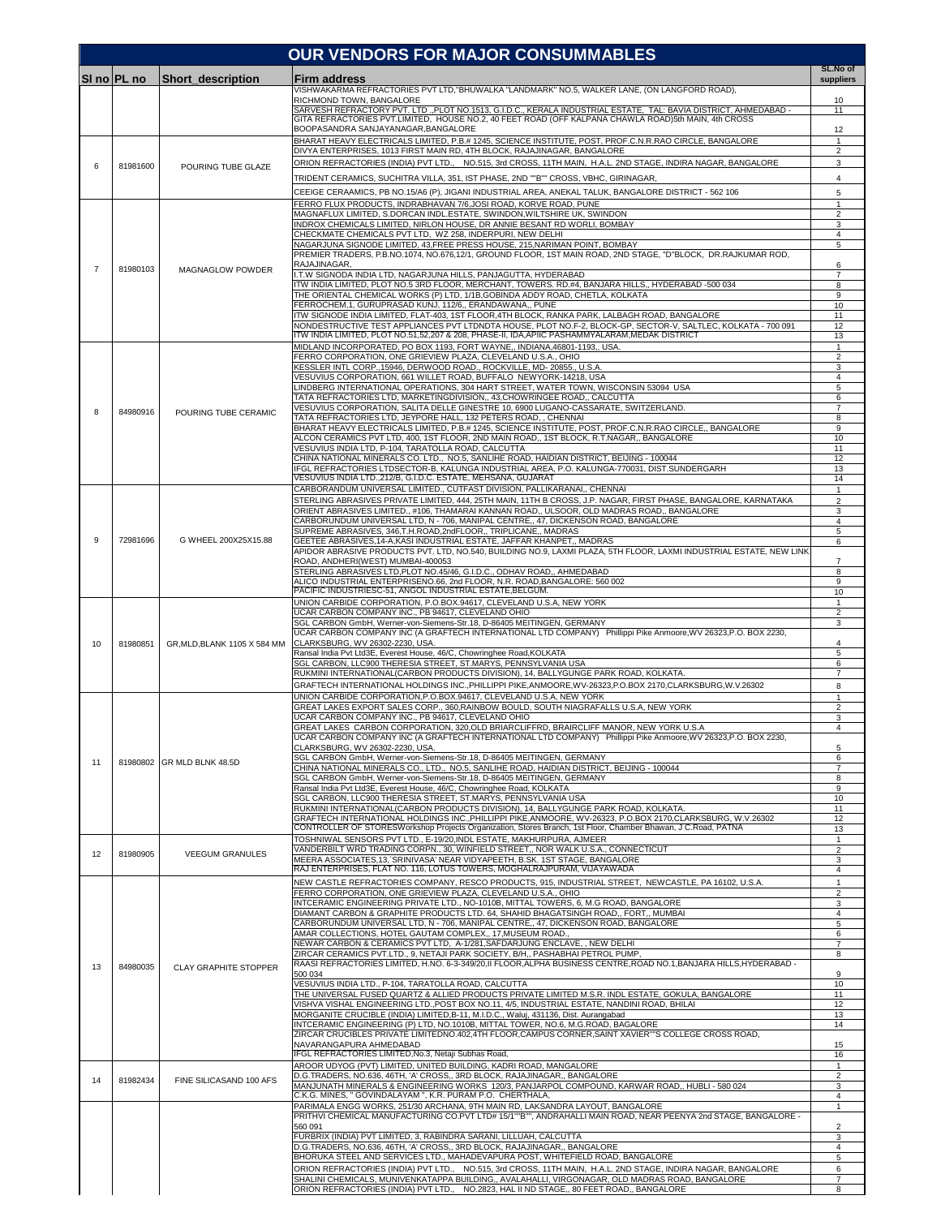|                |             |                              | <b>OUR VENDORS FOR MAJOR CONSUMMABLES</b>                                                                                                                                                                                |                                         |
|----------------|-------------|------------------------------|--------------------------------------------------------------------------------------------------------------------------------------------------------------------------------------------------------------------------|-----------------------------------------|
|                | SI no PL no | Short description            | <b>Firm address</b>                                                                                                                                                                                                      | SL.No of<br>suppliers                   |
|                |             |                              | VISHWAKARMA REFRACTORIES PVT LTD, "BHUWALKA "LANDMARK" NO.5, WALKER LANE, (ON LANGFORD ROAD),<br>RICHMOND TOWN, BANGALORE                                                                                                | 10                                      |
|                |             |                              | SARVESH REFRACTORY PVT. LTD., PLOT NO.1513, G.I.D.C., KERALA INDUSTRIAL ESTATE, TAL: BAVIA DISTRICT, AHMEDABAD -<br>GITA REFRACTORIES PVT.LIMITED, HOUSE NO.2, 40 FEET ROAD (OFF KALPANA CHAWLA ROAD)5th MAIN, 4th CROSS | 11                                      |
|                |             |                              | BOOPASANDRA SANJAYANAGAR, BANGALORE<br>BHARAT HEAVY ELECTRICALS LIMITED, P.B.# 1245, SCIENCE INSTITUTE, POST, PROF.C.N.R.RAO CIRCLE, BANGALORE                                                                           | 12<br>$\mathbf{1}$                      |
|                |             |                              | DIVYA ENTERPRISES, 1013 FIRST MAIN RD, 4TH BLOCK, RAJAJINAGAR, BANGALORE<br>ORION REFRACTORIES (INDIA) PVT LTD., NO.515, 3rd CROSS, 11TH MAIN, H.A.L. 2ND STAGE, INDIRA NAGAR, BANGALORE                                 | $\overline{2}$<br>3                     |
| 6              | 81981600    | POURING TUBE GLAZE           | TRIDENT CERAMICS, SUCHITRA VILLA, 351, IST PHASE, 2ND ""B"" CROSS, VBHC, GIRINAGAR,                                                                                                                                      | $\overline{4}$                          |
|                |             |                              | CEEIGE CERAAMICS, PB NO.15/A6 (P), JIGANI INDUSTRIAL AREA, ANEKAL TALUK, BANGALORE DISTRICT - 562 106                                                                                                                    | 5                                       |
|                |             |                              | FERRO FLUX PRODUCTS, INDRABHAVAN 7/6, JOSI ROAD, KORVE ROAD, PUNE<br>MAGNAFLUX LIMITED, S.DORCAN INDL.ESTATE, SWINDON,WILTSHIRE UK, SWINDON                                                                              | $\mathbf{1}$<br>$\overline{a}$          |
|                |             |                              | INDROX CHEMICALS LIMITED, NIRLON HOUSE, DR ANNIE BESANT RD WORLI, BOMBAY<br>CHECKMATE CHEMICALS PVT LTD, WZ 258, INDERPURI, NEW DELHI                                                                                    | 3<br>$\overline{4}$                     |
|                |             |                              | NAGARJUNA SIGNODE LIMITED, 43, FREE PRESS HOUSE, 215, NARIMAN POINT, BOMBAY<br>PREMIER TRADERS, P.B.NO.1074, NO.676,12/1, GROUND FLOOR, 1ST MAIN ROAD, 2ND STAGE, "D"BLOCK, DR.RAJKUMAR ROD,                             | 5                                       |
| $\overline{7}$ | 81980103    | MAGNAGLOW POWDER             | RAJAJINAGAR,<br>I.T.W SIGNODA INDIA LTD, NAGARJUNA HILLS, PANJAGUTTA, HYDERABAD                                                                                                                                          | 6<br>7                                  |
|                |             |                              | ITW INDIA LIMITED, PLOT NO.5 3RD FLOOR, MERCHANT, TOWERS. RD.#4, BANJARA HILLS,, HYDERABAD -500 034<br>THE ORIENTAL CHEMICAL WORKS (P) LTD, 1/1B, GOBINDA ADDY ROAD, CHETLA, KOLKATA                                     | 8<br>$\boldsymbol{9}$                   |
|                |             |                              | FERROCHEM, 1, GURUPRASAD KUNJ, 112/6,, ERANDAWANA,, PUNE<br>ITW SIGNODE INDIA LIMITED, FLAT-403, 1ST FLOOR,4TH BLOCK, RANKA PARK, LALBAGH ROAD, BANGALORE                                                                | 10<br>11                                |
|                |             |                              | NONDESTRUCTIVE TEST APPLIANCES PVT LTDNDTA HOUSE, PLOT NO.F-2, BLOCK-GP, SECTOR-V, SALTLEC, KOLKATA - 700 091<br>ITW INDIA LIMITED, PLOT NO.51,52,207 & 208, PHASE-II, IDA,APIIC PASHAMMYALARAM,MEDAK DISTRICT           | 12<br>13                                |
|                |             |                              | MIDLAND INCORPORATED, PO BOX 1193, FORT WAYNE,, INDIANA,46801-1193,, USA.<br>FERRO CORPORATION, ONE GRIEVIEW PLAZA, CLEVELAND U.S.A., OHIO                                                                               | $\mathbf{1}$<br>$\overline{a}$          |
|                |             |                              | KESSLER INTL CORP.,15946, DERWOOD ROAD., ROCKVILLE, MD- 20855., U.S.A.<br>VESUVIUS CORPORATION, 661 WILLET ROAD, BUFFALO NEWYORK-14218, USA                                                                              | 3<br>4                                  |
|                |             |                              | LINDBERG INTERNATIONAL OPERATIONS, 304 HART STREET, WATER TOWN, WISCONSIN 53094 USA                                                                                                                                      | 5                                       |
| 8              | 84980916    | POURING TUBE CERAMIC         | TATA REFRACTORIES LTD, MARKETINGDIVISION,, 43,CHOWRINGEE ROAD,, CALCUTTA<br>VESUVIUS CORPORATION, SALITA DELLE GINESTRE 10, 6900 LUGANO-CASSARATE, SWITZERLAND.                                                          | 6<br>$\overline{7}$                     |
|                |             |                              | TATA REFRACTORIES LTD, JEYPORE HALL, 132 PETERS ROAD, , CHENNAI<br>BHARAT HEAVY ELECTRICALS LIMITED, P.B.# 1245, SCIENCE INSTITUTE, POST, PROF.C.N.R.RAO CIRCLE,, BANGALORE                                              | 8<br>9                                  |
|                |             |                              | ALCON CERAMICS PVT LTD, 400, 1ST FLOOR, 2ND MAIN ROAD,, 1ST BLOCK, R.T.NAGAR,, BANGALORE<br>VESUVIUS INDIA LTD, P-104, TARATOLLA ROAD, CALCUTTA                                                                          | 10<br>11                                |
|                |             |                              | CHINA NATIONAL MINERALS CO. LTD., NO.5, SANLIHE ROAD, HAIDIAN DISTRICT, BEIJING - 100044<br>IFGL REFRACTORIES LTDSECTOR-B, KALUNGA INDUSTRIAL AREA, P.O. KALUNGA-770031, DIST.SUNDERGARH                                 | 12<br>13                                |
|                |             |                              | VESUVIUS INDIA LTD., 212/B, G.I.D.C. ESTATE, MEHSANA, GUJARAT<br>CARBORANDUM UNIVERSAL LIMITED., CUTFAST DIVISION, PALLIKARANAI,, CHENNAI                                                                                | 14<br>$\mathbf{1}$                      |
|                |             |                              | STERLING ABRASIVES PRIVATE LIMITED, 444, 25TH MAIN, 11TH B CROSS, J.P. NAGAR, FIRST PHASE, BANGALORE, KARNATAKA<br>ORIENT ABRASIVES LIMITED., #106, THAMARAI KANNAN ROAD., ULSOOR, OLD MADRAS ROAD., BANGALORE           | $\overline{a}$<br>3                     |
|                |             |                              | CARBORUNDUM UNIVERSAL LTD, N - 706, MANIPAL CENTRE,, 47, DICKENSON ROAD, BANGALORE<br>SUPREME ABRASIVES, 346, T.H.ROAD, 2ndFLOOR,, TRIPLICANE,, MADRAS                                                                   | $\overline{4}$<br>5                     |
| 9              | 72981696    | G WHEEL 200X25X15.88         | GEETEE ABRASIVES, 14-A, KASI INDUSTRIAL ESTATE, JAFFAR KHANPET,, MADRAS<br>APIDOR ABRASIVE PRODUCTS PVT. LTD, NO.540, BUILDING NO.9, LAXMI PLAZA, 5TH FLOOR, LAXMI INDUSTRIAL ESTATE, NEW LINK                           | 6                                       |
|                |             |                              | ROAD, ANDHERI(WEST) MUMBAI-400053<br>STERLING ABRASIVES LTD, PLOT NO.45/46, G.I.D.C., ODHAV ROAD,, AHMEDABAD                                                                                                             | $\overline{7}$<br>8                     |
|                |             |                              | ALICO INDUSTRIAL ENTERPRISENO.66, 2nd FLOOR, N.R. ROAD, BANGALORE: 560 002                                                                                                                                               | 9                                       |
|                |             |                              | PACIFIC INDUSTRIESC-51, ANGOL INDUSTRIAL ESTATE, BELGUM.<br>UNION CARBIDE CORPORATION, P.O.BOX.94617, CLEVELAND U.S.A, NEW YORK                                                                                          | 10<br>$\mathbf{1}$                      |
|                |             |                              | UCAR CARBON COMPANY INC., PB 94617, CLEVELAND OHIO<br>SGL CARBON GmbH, Werner-von-Siemens-Str.18, D-86405 MEITINGEN, GERMANY                                                                                             | $\overline{2}$<br>3                     |
| 10             | 81980851    | GR, MLD, BLANK 1105 X 584 MM | UCAR CARBON COMPANY INC (A GRAFTECH INTERNATIONAL LTD COMPANY) Phillippi Pike Anmoore, WV 26323, P.O. BOX 2230,<br>CLARKSBURG, WV 26302-2230, USA.                                                                       | 4                                       |
|                |             |                              | Ransal India Pvt Ltd3E, Everest House, 46/C, Chowringhee Road, KOLKATA<br>SGL CARBON, LLC900 THERESIA STREET, ST.MARYS, PENNSYLVANIA USA                                                                                 | 5<br>6                                  |
|                |             |                              | RUKMINI INTERNATIONAL(CARBON PRODUCTS DIVISION), 14, BALLYGUNGE PARK ROAD, KOLKATA.<br>GRAFTECH INTERNATIONAL HOLDINGS INC., PHILLIPPI PIKE, ANMOORE, WV-26323, P.O.BOX 2170, CLARKSBURG, W.V.26302                      | $\overline{7}$<br>8                     |
|                |             |                              | UNION CARBIDE CORPORATION.P.O.BOX.94617, CLEVELAND U.S.A. NEW YORK<br>GREAT LAKES EXPORT SALES CORP., 360, RAINBOW BOULD, SOUTH NIAGRAFALLS U.S.A, NEW YORK                                                              | $\mathbf{1}$<br>$\overline{2}$          |
|                |             |                              | UCAR CARBON COMPANY INC., PB 94617, CLEVELAND OHIO<br>GREAT LAKES CARBON CORPORATION, 320,OLD BRIARCLIFFRD, BRAIRCLIFF MANOR, NEW YORK U.S.A                                                                             | 3<br>$\overline{4}$                     |
|                |             |                              | UCAR CARBON COMPANY INC (A GRAFTECH INTERNATIONAL LTD COMPANY) Phillippi Pike Anmoore, WV 26323, P.O. BOX 2230,<br>CLARKSBURG, WV 26302-2230, USA.                                                                       | 5                                       |
| 11             |             | 81980802 GR MLD BLNK 48.5D   | SGL CARBON GmbH, Werner-von-Siemens-Str.18, D-86405 MEITINGEN, GERMANY                                                                                                                                                   | 6                                       |
|                |             |                              | CHINA NATIONAL MINERALS CO., LTD., NO.5, SANLIHE ROAD, HAIDIAN DISTRICT, BEIJING - 100044<br>SGL CARBON GmbH, Werner-von-Siemens-Str.18, D-86405 MEITINGEN, GERMANY                                                      | 7<br>8                                  |
|                |             |                              | Ransal India Pvt Ltd3E, Everest House, 46/C, Chowringhee Road, KOLKATA<br>SGL CARBON, LLC900 THERESIA STREET, ST.MARYS, PENNSYLVANIA USA                                                                                 | 9<br>10                                 |
|                |             |                              | RUKMINI INTERNATIONAL(CARBON PRODUCTS DIVISION), 14, BALLYGUNGE PARK ROAD, KOLKATA.<br>GRAFTECH INTERNATIONAL HOLDINGS INC., PHILLIPPI PIKE, ANMOORE, WV-26323, P.O.BOX 2170, CLARKSBURG, W.V.26302                      | 11<br>12                                |
|                |             |                              | CONTROLLER OF STORESWorkshop Projects Organization, Stores Branch, 1st Floor, Chamber Bhawan, J C.Road, PATNA<br>TOSHNIWAL SENSORS PVT LTD., E-19/20, INDL ESTATE, MAKHURPURA, AJMEER                                    | 13<br>$\mathbf{1}$                      |
| 12             | 81980905    | <b>VEEGUM GRANULES</b>       | VANDERBILT WRD TRADING CORPN., 30, WINFIELD STREET,, NOR WALK U.S.A., CONNECTICUT<br>MEERA ASSOCIATES, 13, `SRINIVASA' NEAR VIDYAPEETH, B.SK. 1ST STAGE, BANGALORE                                                       | $\overline{\mathbf{c}}$<br>3            |
|                |             |                              | RAJ ENTERPRISES, FLAT NO. 116, LOTUS TOWERS, MOGHALRAJPURAM, VIJAYAWADA<br>NEW CASTLE REFRACTORIES COMPANY, RESCO PRODUCTS, 915, INDUSTRIAL STREET, NEWCASTLE, PA 16102, U.S.A.                                          | $\overline{4}$<br>$\mathbf{1}$          |
|                |             |                              | FERRO CORPORATION, ONE GRIEVIEW PLAZA, CLEVELAND U.S.A., OHIO<br>INTCERAMIC ENGINEERING PRIVATE LTD., NO-1010B, MITTAL TOWERS, 6, M.G ROAD, BANGALORE                                                                    | $\overline{2}$<br>3                     |
|                |             |                              | DIAMANT CARBON & GRAPHITE PRODUCTS LTD. 64, SHAHID BHAGATSINGH ROAD,, FORT,, MUMBAI<br>CARBORUNDUM UNIVERSAL LTD, N - 706, MANIPAL CENTRE,, 47, DICKENSON ROAD, BANGALORE                                                | $\overline{4}$<br>5                     |
|                |             |                              | AMAR COLLECTIONS, HOTEL GAUTAM COMPLEX,, 17, MUSEUM ROAD.,<br>NEWAR CARBON & CERAMICS PVT LTD, A-1/281, SAFDARJUNG ENCLAVE,, NEW DELHI                                                                                   | 6<br>7                                  |
|                |             |                              | ZIRCAR CERAMICS PVT.LTD., 9, NETAJI PARK SOCIETY, B/H,, PASHABHAI PETROL PUMP,<br>RAASI REFRACTORIES LIMITED, H.NO. 6-3-349/20, II FLOOR, ALPHA BUSINESS CENTRE, ROAD NO.1, BANJARA HILLS, HYDERABAD -                   | 8                                       |
| 13             | 84980035    | <b>CLAY GRAPHITE STOPPER</b> | 500 034                                                                                                                                                                                                                  | 9<br>10                                 |
|                |             |                              | VESUVIUS INDIA LTD., P-104, TARATOLLA ROAD, CALCUTTA<br>THE UNIVERSAL FUSED QUARTZ & ALLIED PRODUCTS PRIVATE LIMITED M.S.R. INDL ESTATE, GOKULA, BANGALORE                                                               | 11                                      |
|                |             |                              | VISHVA VISHAL ENGINEERING LTD., POST BOX NO.11, 4/5, INDUSTRIAL ESTATE, NANDINI ROAD, BHILAI<br>MORGANITE CRUCIBLE (INDIA) LIMITED, B-11, M.I.D.C., Waluj, 431136, Dist. Aurangabad                                      | 12<br>13                                |
|                |             |                              | INTCERAMIC ENGINEERING (P) LTD, NO.1010B, MITTAL TOWER, NO.6, M.G.ROAD, BAGALORE<br>ZIRCAR CRUCIBLES PRIVATE LIMITEDNO.402,4TH FLOOR,CAMPUS CORNER,SAINT XAVIER""S COLLEGE CROSS ROAD,                                   | 14                                      |
|                |             |                              | NAVARANGAPURA AHMEDABAD<br>IFGL REFRACTORIES LIMITED, No.3, Netaji Subhas Road,                                                                                                                                          | 15<br>16                                |
| 14             | 81982434    | FINE SILICASAND 100 AFS      | AROOR UDYOG (PVT) LIMITED, UNITED BUILDING, KADRI ROAD, MANGALORE<br>D.G.TRADERS, NO.636, 46TH, 'A' CROSS,, 3RD BLOCK, RAJAJINAGAR,, BANGALORE                                                                           | $\mathbf{1}$<br>$\overline{\mathbf{c}}$ |
|                |             |                              | MANJUNATH MINERALS & ENGINEERING WORKS 120/3, PANJARPOL COMPOUND, KARWAR ROAD,, HUBLI - 580 024<br>C.K.G. MINES, " GOVINDALAYAM ", K.R. PURAM P.O. CHERTHALA,                                                            | 3<br>$\overline{4}$                     |
|                |             |                              | PARIMALA ENGG WORKS, 251/30 ARCHANA, 9TH MAIN RD, LAKSANDRA LAYOUT, BANGALORE<br>PRITHVI CHEMICAL MANUFACTURING CO.PVT LTD# 15/1""B"", ANDRAHALLI MAIN ROAD, NEAR PEENYA 2nd STAGE, BANGALORE -                          | $\mathbf{1}$                            |
|                |             |                              | 560 091<br>FURBRIX (INDIA) PVT LIMITED, 3, RABINDRA SARANI, LILLUAH, CALCUTTA                                                                                                                                            | $\overline{c}$<br>3                     |
|                |             |                              | D.G.TRADERS, NO.636, 46TH, 'A' CROSS,, 3RD BLOCK, RAJAJINAGAR,, BANGALORE<br>BHORUKA STEEL AND SERVICES LTD., MAHADEVAPURA POST, WHITEFIELD ROAD, BANGALORE                                                              | $\overline{4}$<br>5                     |
|                |             |                              | ORION REFRACTORIES (INDIA) PVT LTD., NO.515, 3rd CROSS, 11TH MAIN, H.A.L. 2ND STAGE, INDIRA NAGAR, BANGALORE<br>SHALINI CHEMICALS, MUNIVENKATAPPA BUILDING,, AVALAHALLI, VIRGONAGAR, OLD MADRAS ROAD, BANGALORE          | 6<br>$\overline{7}$                     |
|                |             |                              | ORION REFRACTORIES (INDIA) PVT LTD., NO.2823, HAL II ND STAGE,, 80 FEET ROAD,, BANGALORE                                                                                                                                 | 8                                       |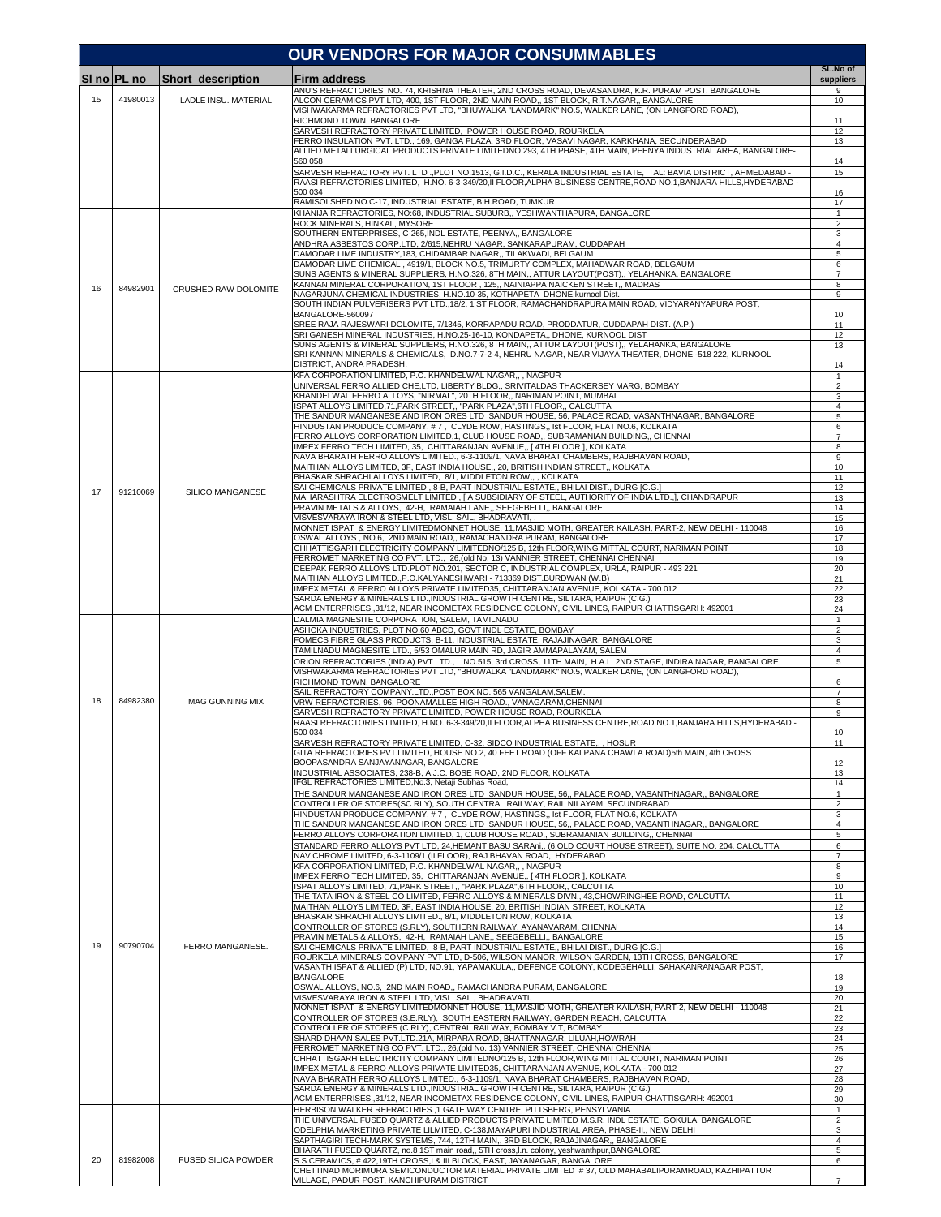|    |             |                            | <b>OUR VENDORS FOR MAJOR CONSUMMABLES</b>                                                                                                                                                                     |                       |
|----|-------------|----------------------------|---------------------------------------------------------------------------------------------------------------------------------------------------------------------------------------------------------------|-----------------------|
|    | SI no PL no | <b>Short_description</b>   | Firm address                                                                                                                                                                                                  | SL.No of<br>suppliers |
| 15 | 41980013    | LADLE INSU. MATERIAL       | ANU'S REFRACTORIES NO. 74, KRISHNA THEATER, 2ND CROSS ROAD, DEVASANDRA, K.R. PURAM POST, BANGALORE<br>ALCON CERAMICS PVT LTD, 400, 1ST FLOOR, 2ND MAIN ROAD,, 1ST BLOCK, R.T.NAGAR,, BANGALORE                | 9<br>10               |
|    |             |                            | VISHWAKARMA REFRACTORIES PVT LTD, "BHUWALKA "LANDMARK" NO.5, WALKER LANE, (ON LANGFORD ROAD),<br>RICHMOND TOWN, BANGALORE                                                                                     | 11                    |
|    |             |                            | SARVESH REFRACTORY PRIVATE LIMITED, POWER HOUSE ROAD, ROURKELA                                                                                                                                                | 12                    |
|    |             |                            | FERRO INSULATION PVT. LTD., 169, GANGA PLAZA, 3RD FLOOR, VASAVI NAGAR, KARKHANA, SECUNDERABAD<br>ALLIED METALLURGICAL PRODUCTS PRIVATE LIMITEDNO.293, 4TH PHASE, 4TH MAIN, PEENYA INDUSTRIAL AREA, BANGALORE- | 13                    |
|    |             |                            | 560 058<br>SARVESH REFRACTORY PVT. LTD ., PLOT NO.1513, G.I.D.C., KERALA INDUSTRIAL ESTATE, TAL: BAVIA DISTRICT, AHMEDABAD -                                                                                  | 14<br>15              |
|    |             |                            | RAASI REFRACTORIES LIMITED, H.NO. 6-3-349/20, II FLOOR, ALPHA BUSINESS CENTRE, ROAD NO.1, BANJARA HILLS, HYDERABAD -<br>500 034                                                                               | 16                    |
|    |             |                            | RAMISOLSHED NO.C-17, INDUSTRIAL ESTATE, B.H.ROAD, TUMKUR<br>KHANIJA REFRACTORIES, NO:68, INDUSTRIAL SUBURB., YESHWANTHAPURA, BANGALORE                                                                        | 17<br>$\mathbf{1}$    |
|    |             |                            | ROCK MINERALS, HINKAL, MYSORE                                                                                                                                                                                 | $\overline{2}$        |
|    |             |                            | SOUTHERN ENTERPRISES, C-265, INDL ESTATE, PEENYA,, BANGALORE<br>ANDHRA ASBESTOS CORP.LTD, 2/615, NEHRU NAGAR, SANKARAPURAM, CUDDAPAH                                                                          | 3<br>4                |
|    |             |                            | DAMODAR LIME INDUSTRY.183, CHIDAMBAR NAGAR., TILAKWADI, BELGAUM<br>DAMODAR LIME CHEMICAL, 4919/1, BLOCK NO.5, TRIMURTY COMPLEX, MAHADWAR ROAD, BELGAUM                                                        | 5<br>6                |
|    |             |                            | SUNS AGENTS & MINERAL SUPPLIERS, H.NO.326, 8TH MAIN,, ATTUR LAYOUT(POST),, YELAHANKA, BANGALORE<br>KANNAN MINERAL CORPORATION, 1ST FLOOR , 125,, NAINIAPPA NAICKEN STREET,, MADRAS                            | 7<br>8                |
| 16 | 84982901    | CRUSHED RAW DOLOMITE       | NAGARJUNA CHEMICAL INDUSTRIES, H.NO.10-35, KOTHAPETA DHONE, kurnool Dist.<br>SOUTH INDIAN PULVERISERS PVT LTD., 18/2, 1 ST FLOOR, RAMACHANDRAPURA.MAIN ROAD, VIDYARANYAPURA POST,                             | 9                     |
|    |             |                            | BANGALORE-560097                                                                                                                                                                                              | 10                    |
|    |             |                            | SREE RAJA RAJESWARI DOLOMITE, 7/1345, KORRAPADU ROAD, PRODDATUR, CUDDAPAH DIST. (A.P.)<br>SRI GANESH MINERAL INDUSTRIES, H.NO.25-16-10, KONDAPETA,, DHONE, KURNOOL DIST                                       | 11<br>12              |
|    |             |                            | SUNS AGENTS & MINERAL SUPPLIERS, H.NO.326, 8TH MAIN,, ATTUR LAYOUT(POST),, YELAHANKA, BANGALORE<br>SRI KANNAN MINERALS & CHEMICALS, D.NO.7-7-2-4, NEHRU NAGAR, NEAR VIJAYA THEATER, DHONE -518 222, KURNOOL   | 13                    |
|    |             |                            | DISTRICT, ANDRA PRADESH.<br>KFA CORPORATION LIMITED, P.O. KHANDELWAL NAGAR,,, NAGPUR                                                                                                                          | 14<br>1               |
|    |             |                            | UNIVERSAL FERRO ALLIED CHE,LTD, LIBERTY BLDG,, SRIVITALDAS THACKERSEY MARG, BOMBAY<br>KHANDELWAL FERRO ALLOYS, "NIRMAL", 20TH FLOOR,, NARIMAN POINT, MUMBAI                                                   | $\overline{2}$<br>3   |
|    |             |                            | ISPAT ALLOYS LIMITED.71.PARK STREET "PARK PLAZA".6TH FLOOR CALCUTTA                                                                                                                                           | 4<br>5                |
|    |             |                            | THE SANDUR MANGANESE AND IRON ORES LTD SANDUR HOUSE, 56, PALACE ROAD, VASANTHNAGAR, BANGALORE<br>HINDUSTAN PRODUCE COMPANY, #7, CLYDE ROW, HASTINGS,, Ist FLOOR, FLAT NO.6, KOLKATA                           | 6                     |
|    |             |                            | FERRO ALLOYS CORPORATION LIMITED, 1, CLUB HOUSE ROAD,, SUBRAMANIAN BUILDING,, CHENNAI<br>IMPEX FERRO TECH LIMITED, 35, CHITTARANJAN AVENUE,, [ 4TH FLOOR ], KOLKATA                                           | $\overline{7}$<br>8   |
|    |             |                            | NAVA BHARATH FERRO ALLOYS LIMITED., 6-3-1109/1, NAVA BHARAT CHAMBERS, RAJBHAVAN ROAD,<br>MAITHAN ALLOYS LIMITED, 3F, EAST INDIA HOUSE,, 20, BRITISH INDIAN STREET,, KOLKATA                                   | 9<br>10               |
|    |             |                            | BHASKAR SHRACHI ALLOYS LIMITED, 8/1, MIDDLETON ROW,, , KOLKATA<br>SAI CHEMICALS PRIVATE LIMITED, 8-B, PART INDUSTRIAL ESTATE,, BHILAI DIST., DURG [C.G.]                                                      | 11<br>12              |
| 17 | 91210069    | SILICO MANGANESE           | MAHARASHTRA ELECTROSMELT LIMITED, [ A SUBSIDIARY OF STEEL, AUTHORITY OF INDIA LTD.,], CHANDRAPUR                                                                                                              | 13                    |
|    |             |                            | PRAVIN METALS & ALLOYS, 42-H, RAMAIAH LANE,, SEEGEBELLI,, BANGALORE<br>VISVESVARAYA IRON & STEEL LTD, VISL, SAIL, BHADRAVATI,                                                                                 | 14<br>15              |
|    |             |                            | MONNET ISPAT & ENERGY LIMITEDMONNET HOUSE, 11, MASJID MOTH, GREATER KAILASH, PART-2, NEW DELHI - 110048<br>OSWAL ALLOYS, NO.6, 2ND MAIN ROAD,, RAMACHANDRA PURAM, BANGALORE                                   | 16<br>17              |
|    |             |                            | CHHATTISGARH ELECTRICITY COMPANY LIMITEDNO/125 B, 12th FLOOR, WING MITTAL COURT, NARIMAN POINT<br>FERROMET MARKETING CO PVT. LTD., 26, (old No. 13) VANNIER STREET, CHENNAI CHENNAI                           | 18<br>19              |
|    |             |                            | DEEPAK FERRO ALLOYS LTD.PLOT NO.201, SECTOR C, INDUSTRIAL COMPLEX, URLA, RAIPUR - 493 221<br>MAITHAN ALLOYS LIMITED., P.O.KALYANESHWARI - 713369 DIST.BURDWAN (W.B)                                           | 20<br>21              |
|    |             |                            | IMPEX METAL & FERRO ALLOYS PRIVATE LIMITED35, CHITTARANJAN AVENUE, KOLKATA - 700 012                                                                                                                          | 22                    |
|    |             |                            | SARDA ENERGY & MINERALS LTD., INDUSTRIAL GROWTH CENTRE, SILTARA, RAIPUR (C.G.)<br>ACM ENTERPRISES., 31/12, NEAR INCOMETAX RESIDENCE COLONY, CIVIL LINES, RAIPUR CHATTISGARH: 492001                           | 23<br>24              |
|    |             |                            | DALMIA MAGNESITE CORPORATION, SALEM, TAMILNADU<br>ASHOKA INDUSTRIES, PLOT NO.60 ABCD, GOVT INDL ESTATE, BOMBAY                                                                                                | 1<br>$\overline{2}$   |
|    |             |                            | FOMECS FIBRE GLASS PRODUCTS, B-11, INDUSTRIAL ESTATE, RAJAJINAGAR, BANGALORE<br>TAMILNADU MAGNESITE LTD., 5/53 OMALUR MAIN RD, JAGIR AMMAPALAYAM, SALEM                                                       | 3<br>4                |
|    |             |                            | ORION REFRACTORIES (INDIA) PVT LTD., NO.515, 3rd CROSS, 11TH MAIN, H.A.L. 2ND STAGE, INDIRA NAGAR, BANGALORE<br>VISHWAKARMA REFRACTORIES PVT LTD, "BHUWALKA "LANDMARK" NO.5, WALKER LANE, (ON LANGFORD ROAD), | 5                     |
|    |             |                            | RICHMOND TOWN, BANGALORE                                                                                                                                                                                      | 6                     |
| 18 | 84982380    | <b>MAG GUNNING MIX</b>     | SAIL REFRACTORY COMPANY.LTD., POST BOX NO. 565 VANGALAM, SALEM<br>VRW REFRACTORIES, 96, POONAMALLEE HIGH ROAD., VANAGARAM, CHENNAI                                                                            | $\overline{7}$<br>8   |
|    |             |                            | SARVESH REFRACTORY PRIVATE LIMITED, POWER HOUSE ROAD, ROURKELA<br>RAASI REFRACTORIES LIMITED, H.NO. 6-3-349/20, II FLOOR, ALPHA BUSINESS CENTRE, ROAD NO.1, BANJARA HILLS, HYDERABAD -                        | 9                     |
|    |             |                            | 500 034<br>SARVESH REFRACTORY PRIVATE LIMITED, C-32, SIDCO INDUSTRIAL ESTATE,, , HOSUR                                                                                                                        | 10<br>11              |
|    |             |                            | GITA REFRACTORIES PVT.LIMITED, HOUSE NO.2, 40 FEET ROAD (OFF KALPANA CHAWLA ROAD)5th MAIN, 4th CROSS<br>BOOPASANDRA SANJAYANAGAR, BANGALORE                                                                   | 12                    |
|    |             |                            | INDUSTRIAL ASSOCIATES, 238-B, A.J.C. BOSE ROAD, 2ND FLOOR, KOLKATA<br>IFGL REFRACTORIES LIMITED, No.3, Netaji Subhas Road,                                                                                    | 13<br>14              |
|    |             |                            | THE SANDUR MANGANESE AND IRON ORES LTD SANDUR HOUSE, 56,, PALACE ROAD, VASANTHNAGAR,, BANGALORE                                                                                                               | $\mathbf{1}$          |
|    |             |                            | CONTROLLER OF STORES(SC RLY), SOUTH CENTRAL RAILWAY, RAIL NILAYAM, SECUNDRABAD<br>HINDUSTAN PRODUCE COMPANY, #7, CLYDE ROW, HASTINGS,, Ist FLOOR, FLAT NO.6, KOLKATA                                          | $\overline{2}$<br>3   |
|    |             |                            | THE SANDUR MANGANESE AND IRON ORES LTD SANDUR HOUSE, 56,, PALACE ROAD, VASANTHNAGAR,, BANGALORE<br>FERRO ALLOYS CORPORATION LIMITED, 1, CLUB HOUSE ROAD,, SUBRAMANIAN BUILDING,, CHENNAI                      | 4<br>5                |
|    |             |                            | STANDARD FERRO ALLOYS PVT LTD, 24, HEMANT BASU SARAni,, (6, OLD COURT HOUSE STREET), SUITE NO. 204, CALCUTTA<br>NAV CHROME LIMITED, 6-3-1109/1 (II FLOOR), RAJ BHAVAN ROAD,, HYDERABAD                        | 6<br>7                |
|    |             |                            | KFA CORPORATION LIMITED, P.O. KHANDELWAL NAGAR,, , NAGPUR<br>IMPEX FERRO TECH LIMITED, 35, CHITTARANJAN AVENUE,, [4TH FLOOR ], KOLKATA                                                                        | 8<br>9                |
|    |             |                            | ISPAT ALLOYS LIMITED, 71, PARK STREET,, "PARK PLAZA", 6TH FLOOR,, CALCUTTA                                                                                                                                    | 10                    |
|    |             |                            | THE TATA IRON & STEEL CO LIMITED, FERRO ALLOYS & MINERALS DIVN., 43, CHOWRINGHEE ROAD, CALCUTTA<br>MAITHAN ALLOYS LIMITED, 3F, EAST INDIA HOUSE, 20, BRITISH INDIAN STREET, KOLKATA                           | 11<br>12              |
|    |             |                            | BHASKAR SHRACHI ALLOYS LIMITED., 8/1, MIDDLETON ROW, KOLKATA<br>CONTROLLER OF STORES (S.RLY), SOUTHERN RAILWAY, AYANAVARAM, CHENNAI                                                                           | 13<br>14              |
| 19 | 90790704    | FERRO MANGANESE.           | PRAVIN METALS & ALLOYS, 42-H, RAMAIAH LANE,, SEEGEBELLI,, BANGALORE<br>SAI CHEMICALS PRIVATE LIMITED, 8-B, PART INDUSTRIAL ESTATE,, BHILAI DIST., DURG [C.G.]                                                 | 15<br>16              |
|    |             |                            | ROURKELA MINERALS COMPANY PVT LTD, D-506, WILSON MANOR, WILSON GARDEN, 13TH CROSS, BANGALORE<br>VASANTH ISPAT & ALLIED (P) LTD, NO.91, YAPAMAKULA,, DEFENCE COLONY, KODEGEHALLI, SAHAKANRANAGAR POST,         | 17                    |
|    |             |                            | <b>BANGALORE</b>                                                                                                                                                                                              | 18                    |
|    |             |                            | OSWAL ALLOYS, NO.6, 2ND MAIN ROAD., RAMACHANDRA PURAM, BANGALORE<br>VISVESVARAYA IRON & STEEL LTD, VISL, SAIL, BHADRAVATI.                                                                                    | 19<br>20              |
|    |             |                            | MONNET ISPAT & ENERGY LIMITEDMONNET HOUSE, 11, MASJID MOTH, GREATER KAILASH, PART-2, NEW DELHI - 110048<br>CONTROLLER OF STORES (S.E.RLY), SOUTH EASTERN RAILWAY, GARDEN REACH, CALCUTTA                      | 21<br>22              |
|    |             |                            | CONTROLLER OF STORES (C.RLY), CENTRAL RAILWAY, BOMBAY V.T, BOMBAY<br>SHARD DHAAN SALES PVT.LTD.21A, MIRPARA ROAD, BHATTANAGAR, LILUAH, HOWRAH                                                                 | 23<br>24              |
|    |             |                            | FERROMET MARKETING CO PVT. LTD., 26, (old No. 13) VANNIER STREET, CHENNAI CHENNAI<br>CHHATTISGARH ELECTRICITY COMPANY LIMITEDNO/125 B, 12th FLOOR, WING MITTAL COURT, NARIMAN POINT                           | 25<br>26              |
|    |             |                            | IMPEX METAL & FERRO ALLOYS PRIVATE LIMITED35, CHITTARANJAN AVENUE, KOLKATA - 700 012<br>NAVA BHARATH FERRO ALLOYS LIMITED., 6-3-1109/1, NAVA BHARAT CHAMBERS, RAJBHAVAN ROAD,                                 | 27<br>28              |
|    |             |                            | SARDA ENERGY & MINERALS LTD., INDUSTRIAL GROWTH CENTRE, SILTARA, RAIPUR (C.G.)                                                                                                                                | 29                    |
|    |             |                            | ACM ENTERPRISES., 31/12, NEAR INCOMETAX RESIDENCE COLONY, CIVIL LINES, RAIPUR CHATTISGARH: 492001<br>HERBISON WALKER REFRACTRIES.,1 GATE WAY CENTRE, PITTSBERG, PENSYLVANIA                                   | 30<br>1               |
|    |             |                            | THE UNIVERSAL FUSED QUARTZ & ALLIED PRODUCTS PRIVATE LIMITED M.S.R. INDL ESTATE, GOKULA, BANGALORE<br>ODELPHIA MARKETING PRIVATE LILMITED, C-138, MAYAPURI INDUSTRIAL AREA, PHASE-II,, NEW DELHI              | 2<br>3                |
|    |             |                            | SAPTHAGIRI TECH-MARK SYSTEMS, 744, 12TH MAIN,, 3RD BLOCK, RAJAJINAGAR,, BANGALORE<br>BHARATH FUSED QUARTZ, no.8 1ST main road,, 5TH cross, I.n. colony, yeshwanthpur, BANGALORE                               | 4<br>5                |
| 20 | 81982008    | <b>FUSED SILICA POWDER</b> | S.S.CERAMICS, #422,19TH CROSS,I & III BLOCK, EAST, JAYANAGAR, BANGALORE<br>CHETTINAD MORIMURA SEMICONDUCTOR MATERIAL PRIVATE LIMITED #37, OLD MAHABALIPURAMROAD, KAZHIPATTUR                                  | 6                     |
|    |             |                            | VILLAGE, PADUR POST, KANCHIPURAM DISTRICT                                                                                                                                                                     | $\overline{7}$        |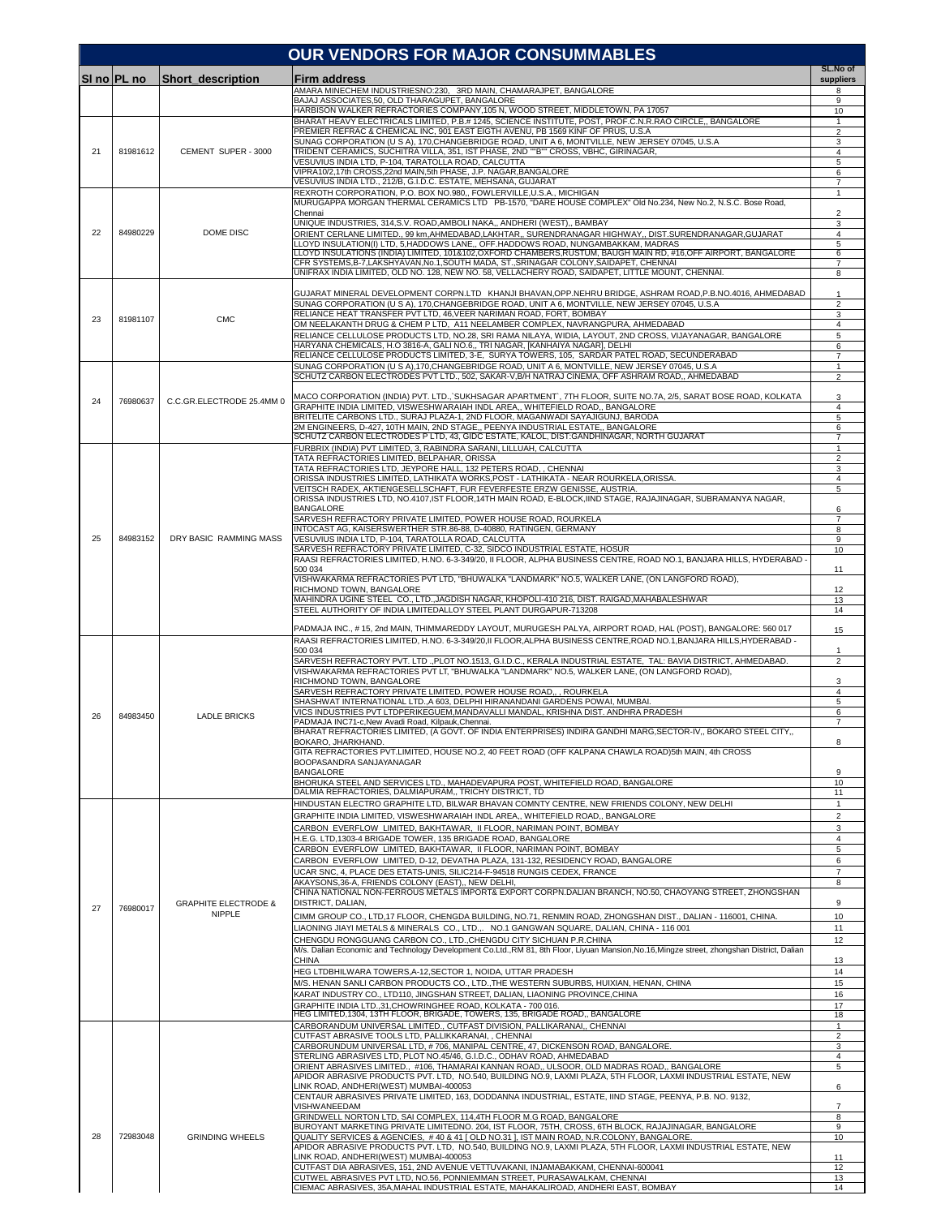|    | <b>OUR VENDORS FOR MAJOR CONSUMMABLES</b> |                                 |                                                                                                                                                                                                                                       |                                |  |  |
|----|-------------------------------------------|---------------------------------|---------------------------------------------------------------------------------------------------------------------------------------------------------------------------------------------------------------------------------------|--------------------------------|--|--|
|    | SI no PL no                               | Short description               | Firm address                                                                                                                                                                                                                          | SL.No of<br>suppliers          |  |  |
|    |                                           |                                 | AMARA MINECHEM INDUSTRIESNO:230, 3RD MAIN, CHAMARAJPET, BANGALORE<br>BAJAJ ASSOCIATES.50, OLD THARAGUPET, BANGALORE                                                                                                                   | 8<br>9                         |  |  |
|    |                                           |                                 | HARBISON WALKER REFRACTORIES COMPANY, 105 N, WOOD STREET, MIDDLETOWN, PA 17057                                                                                                                                                        | 10                             |  |  |
|    |                                           |                                 | BHARAT HEAVY ELECTRICALS LIMITED, P.B.# 1245, SCIENCE INSTITUTE, POST, PROF.C.N.R.RAO CIRCLE., BANGALORE<br>PREMIER REFRAC & CHEMICAL INC, 901 EAST EIGTH AVENU, PB 1569 KINF OF PRUS, U.S.A                                          | 1<br>$\overline{2}$            |  |  |
| 21 | 81981612                                  | CEMENT SUPER - 3000             | SUNAG CORPORATION (U S A), 170, CHANGEBRIDGE ROAD, UNIT A 6, MONTVILLE, NEW JERSEY 07045, U.S.A<br>TRIDENT CERAMICS, SUCHITRA VILLA, 351, IST PHASE, 2ND ""B"" CROSS, VBHC, GIRINAGAR,                                                | 3<br>4                         |  |  |
|    |                                           |                                 | VESUVIUS INDIA LTD, P-104, TARATOLLA ROAD, CALCUTTA<br>VIPRA10/2,17th CROSS,22nd MAIN,5th PHASE, J.P. NAGAR,BANGALORE                                                                                                                 | 5                              |  |  |
|    |                                           |                                 | VESUVIUS INDIA LTD., 212/B, G.I.D.C. ESTATE, MEHSANA, GUJARAT                                                                                                                                                                         | 6<br>7                         |  |  |
|    |                                           |                                 | REXROTH CORPORATION, P.O. BOX NO.980,, FOWLERVILLE,U.S.A., MICHIGAN<br>MURUGAPPA MORGAN THERMAL CERAMICS LTD PB-1570, "DARE HOUSE COMPLEX" Old No.234, New No.2, N.S.C. Bose Road,                                                    | $\mathbf{1}$                   |  |  |
|    |                                           |                                 | Chennai<br>UNIQUE INDUSTRIES, 314, S.V. ROAD, AMBOLI NAKA,, ANDHERI (WEST),, BAMBAY                                                                                                                                                   | $\overline{\mathbf{c}}$<br>3   |  |  |
| 22 | 84980229                                  | DOME DISC                       | ORIENT CERLANE LIMITED., 99 km,AHMEDABAD,LAKHTAR,, SURENDRANAGAR HIGHWAY,, DIST.SURENDRANAGAR,GUJARAT                                                                                                                                 | $\overline{4}$                 |  |  |
|    |                                           |                                 | LLOYD INSULATION(I) LTD, 5,HADDOWS LANE,, OFF.HADDOWS ROAD, NUNGAMBAKKAM, MADRAS<br>LLOYD INSULATIONS (INDIA) LIMITED, 101&102,OXFORD CHAMBERS,RUSTUM, BAUGH MAIN RD, #16,OFF AIRPORT, BANGALORE                                      | 5<br>6                         |  |  |
|    |                                           |                                 | CFR SYSTEMS, B-7, LAKSHYAVAN, No.1, SOUTH MADA, ST., SRINAGAR COLONY, SAIDAPET, CHENNAI<br>UNIFRAX INDIA LIMITED, OLD NO. 128, NEW NO. 58, VELLACHERY ROAD, SAIDAPET, LITTLE MOUNT, CHENNAI.                                          | $\overline{7}$<br>8            |  |  |
|    |                                           |                                 | GUJARAT MINERAL DEVELOPMENT CORPN.LTD KHANJI BHAVAN, OPP.NEHRU BRIDGE, ASHRAM ROAD, P.B.NO.4016, AHMEDABAD                                                                                                                            | 1                              |  |  |
|    |                                           |                                 | SUNAG CORPORATION (U S A), 170, CHANGEBRIDGE ROAD, UNIT A 6, MONTVILLE, NEW JERSEY 07045, U.S.A                                                                                                                                       | $\overline{2}$                 |  |  |
| 23 | 81981107                                  | <b>CMC</b>                      | RELIANCE HEAT TRANSFER PVT LTD, 46, VEER NARIMAN ROAD, FORT, BOMBAY<br>OM NEELAKANTH DRUG & CHEM P LTD, A11 NEELAMBER COMPLEX, NAVRANGPURA, AHMEDABAD                                                                                 | 3<br>4                         |  |  |
|    |                                           |                                 | RELIANCE CELLULOSE PRODUCTS LTD, NO.28, SRI RAMA NILAYA, WIDIA, LAYOUT, 2ND CROSS, VIJAYANAGAR, BANGALORE<br>HARYANA CHEMICALS, H.O 3816-A, GALI NO.6,, TRI NAGAR, [KANHAIYA NAGAR], DELHI                                            | 5<br>6                         |  |  |
|    |                                           |                                 | RELIANCE CELLULOSE PRODUCTS LIMITED, 3-E, SURYA TOWERS, 105, SARDAR PATEL ROAD, SECUNDERABAD                                                                                                                                          | $\overline{7}$                 |  |  |
|    |                                           |                                 | SUNAG CORPORATION (U S A),170,CHANGEBRIDGE ROAD, UNIT A 6, MONTVILLE, NEW JERSEY 07045, U.S.A<br>SCHUTZ CARBON ELECTRODES PVT LTD., 502, SAKAR-V.B/H NATRAJ CINEMA, OFF ASHRAM ROAD., AHMEDABAD                                       | $\mathbf{1}$<br>$\overline{2}$ |  |  |
|    |                                           |                                 | MACO CORPORATION (INDIA) PVT. LTD., SUKHSAGAR APARTMENT, 7TH FLOOR, SUITE NO.7A, 2/5, SARAT BOSE ROAD, KOLKATA                                                                                                                        | 3                              |  |  |
| 24 | 76980637                                  | C.C.GR.ELECTRODE 25.4MM 0       | GRAPHITE INDIA LIMITED, VISWESHWARAIAH INDL AREA,, WHITEFIELD ROAD,, BANGALORE<br>BRITELITE CARBONS LTD., SURAJ PLAZA-1, 2ND FLOOR, MAGANWADI SAYAJIGUNJ, BARODA                                                                      | 4<br>5                         |  |  |
|    |                                           |                                 | 2M ENGINEERS, D-427, 10TH MAIN, 2ND STAGE,, PEENYA INDUSTRIAL ESTATE,, BANGALORE                                                                                                                                                      | 6                              |  |  |
|    |                                           |                                 | SCHUTZ CARBON ELECTRODES P LTD, 43, GIDC ESTATE, KALOL, DIST:GANDHINAGAR, NORTH GUJARAT<br>FURBRIX (INDIA) PVT LIMITED, 3, RABINDRA SARANI, LILLUAH, CALCUTTA                                                                         | $\overline{7}$<br>$\mathbf{1}$ |  |  |
|    |                                           |                                 | TATA REFRACTORIES LIMITED, BELPAHAR, ORISSA<br>TATA REFRACTORIES LTD, JEYPORE HALL, 132 PETERS ROAD, , CHENNAI                                                                                                                        | $\overline{2}$<br>3            |  |  |
|    |                                           |                                 | ORISSA INDUSTRIES LIMITED, LATHIKATA WORKS,POST - LATHIKATA - NEAR ROURKELA,ORISSA.                                                                                                                                                   | $\overline{4}$                 |  |  |
|    |                                           |                                 | /EITSCH RADEX, AKTIENGESELLSCHAFT, FUR FEVERFESTE ERZW GENISSE, AUSTRIA.<br>ORISSA INDUSTRIES LTD, NO.4107,IST FLOOR,14TH MAIN ROAD, E-BLOCK,IIND STAGE, RAJAJINAGAR, SUBRAMANYA NAGAR,                                               | 5                              |  |  |
|    |                                           |                                 | <b>BANGALORE</b><br>SARVESH REFRACTORY PRIVATE LIMITED, POWER HOUSE ROAD, ROURKELA                                                                                                                                                    | 6<br>$\overline{7}$            |  |  |
| 25 | 84983152                                  | DRY BASIC RAMMING MASS          | INTOCAST AG, KAISERSWERTHER STR.86-88, D-40880, RATINGEN, GERMANY<br>VESUVIUS INDIA LTD, P-104, TARATOLLA ROAD, CALCUTTA                                                                                                              | 8<br>9                         |  |  |
|    |                                           |                                 | SARVESH REFRACTORY PRIVATE LIMITED, C-32, SIDCO INDUSTRIAL ESTATE, HOSUR                                                                                                                                                              | 10                             |  |  |
|    |                                           |                                 | RAASI REFRACTORIES LIMITED, H.NO. 6-3-349/20, II FLOOR, ALPHA BUSINESS CENTRE, ROAD NO.1, BANJARA HILLS, HYDERABAD -<br>500 034                                                                                                       | 11                             |  |  |
|    |                                           |                                 | VISHWAKARMA REFRACTORIES PVT LTD, "BHUWALKA "LANDMARK" NO.5, WALKER LANE, (ON LANGFORD ROAD),<br>RICHMOND TOWN, BANGALORE                                                                                                             | 12                             |  |  |
|    |                                           |                                 | MAHINDRA UGINE STEEL CO., LTD., JAGDISH NAGAR, KHOPOLI-410 216, DIST. RAIGAD, MAHABALESHWAR<br>STEEL AUTHORITY OF INDIA LIMITEDALLOY STEEL PLANT DURGAPUR-713208                                                                      | 13<br>14                       |  |  |
|    |                                           |                                 |                                                                                                                                                                                                                                       |                                |  |  |
|    |                                           |                                 | PADMAJA INC., #15, 2nd MAIN, THIMMAREDDY LAYOUT, MURUGESH PALYA, AIRPORT ROAD, HAL (POST), BANGALORE: 560 017<br>RAASI REFRACTORIES LIMITED. H.NO. 6-3-349/20, II FLOOR, ALPHA BUSINESS CENTRE, ROAD NO.1, BANJARA HILLS, HYDERABAD - | 15                             |  |  |
|    |                                           |                                 | 500 034<br>SARVESH REFRACTORY PVT. LTD .,PLOT NO.1513, G.I.D.C., KERALA INDUSTRIAL ESTATE, TAL: BAVIA DISTRICT, AHMEDABAD                                                                                                             | 1<br>$\overline{2}$            |  |  |
|    |                                           |                                 | VISHWAKARMA REFRACTORIES PVT LT, "BHUWALKA "LANDMARK" NO.5, WALKER LANE, (ON LANGFORD ROAD),                                                                                                                                          |                                |  |  |
|    |                                           |                                 | RICHMOND TOWN, BANGALORE<br>SARVESH REFRACTORY PRIVATE LIMITED, POWER HOUSE ROAD,,, ROURKELA                                                                                                                                          | 3<br>$\overline{4}$            |  |  |
|    |                                           |                                 | SHASHWAT INTERNATIONAL LTD., A 603, DELPHI HIRANANDANI GARDENS POWAI, MUMBAI.<br>VICS INDUSTRIES PVT LTDPERIKEGUEM.MANDAVALLI MANDAL, KRISHNA DIST, ANDHRA PRADESH                                                                    | 5<br>6                         |  |  |
| 26 | 84983450                                  | <b>LADLE BRICKS</b>             | PADMAJA INC71-c, New Avadi Road, Kilpauk, Chennai.<br>BHARAT REFRACTORIES LIMITED, (A GOVT. OF INDIA ENTERPRISES) INDIRA GANDHI MARG, SECTOR-IV., BOKARO STEEL CITY.,                                                                 | 7                              |  |  |
|    |                                           |                                 | BOKARO, JHARKHAND.                                                                                                                                                                                                                    | 8                              |  |  |
|    |                                           |                                 | GITA REFRACTORIES PVT.LIMITED, HOUSE NO.2, 40 FEET ROAD (OFF KALPANA CHAWLA ROAD)5th MAIN, 4th CROSS<br>BOOPASANDRA SANJAYANAGAR                                                                                                      |                                |  |  |
|    |                                           |                                 | <b>BANGALORE</b><br>BHORUKA STEEL AND SERVICES LTD., MAHADEVAPURA POST, WHITEFIELD ROAD, BANGALORE                                                                                                                                    | 9<br>10                        |  |  |
|    |                                           |                                 | DALMIA REFRACTORIES, DALMIAPURAM,, TRICHY DISTRICT, TD<br>HINDUSTAN ELECTRO GRAPHITE LTD. BILWAR BHAVAN COMNTY CENTRE. NEW FRIENDS COLONY, NEW DELHI                                                                                  | 11<br>1                        |  |  |
|    |                                           |                                 | GRAPHITE INDIA LIMITED, VISWESHWARAIAH INDL AREA,, WHITEFIELD ROAD,, BANGALORE                                                                                                                                                        | $\overline{2}$                 |  |  |
|    |                                           |                                 | CARBON EVERFLOW LIMITED, BAKHTAWAR, II FLOOR, NARIMAN POINT, BOMBAY<br>H.E.G. LTD,1303-4 BRIGADE TOWER, 135 BRIGADE ROAD, BANGALORE                                                                                                   | 3<br>$\overline{4}$            |  |  |
|    |                                           |                                 | CARBON EVERFLOW LIMITED, BAKHTAWAR, II FLOOR, NARIMAN POINT, BOMBAY                                                                                                                                                                   | 5                              |  |  |
|    |                                           |                                 | CARBON EVERFLOW LIMITED, D-12, DEVATHA PLAZA, 131-132, RESIDENCY ROAD, BANGALORE<br>UCAR SNC, 4, PLACE DES ETATS-UNIS, SILIC214-F-94518 RUNGIS CEDEX, FRANCE                                                                          | 6<br>$\overline{7}$            |  |  |
|    |                                           |                                 | AKAYSONS,36-A, FRIENDS COLONY (EAST),, NEW DELHI,<br>CHINA NATIONAL NON-FERROUS METALS IMPORT& EXPORT CORPN.DALIAN BRANCH, NO.50, CHAOYANG STREET, ZHONGSHAN                                                                          | 8                              |  |  |
| 27 | 76980017                                  | <b>GRAPHITE ELECTRODE &amp;</b> | DISTRICT, DALIAN,                                                                                                                                                                                                                     | 9                              |  |  |
|    |                                           | NIPPLE                          | CIMM GROUP CO., LTD,17 FLOOR, CHENGDA BUILDING, NO.71, RENMIN ROAD, ZHONGSHAN DIST., DALIAN - 116001, CHINA.<br>IAONING JIAYI METALS & MINERALS CO., LTD.,. NO.1 GANGWAN SQUARE, DALIAN, CHINA - 116 001                              | 10<br>11                       |  |  |
|    |                                           |                                 | CHENGDU RONGGUANG CARBON CO., LTD., CHENGDU CITY SICHUAN P.R.CHINA                                                                                                                                                                    | 12                             |  |  |
|    |                                           |                                 | M/s. Dalian Economic and Technology Development Co.Ltd.,RM 81, 8th Floor, Liyuan Mansion,No.16,Mingze street, zhongshan District, Dalian<br>CHINA                                                                                     | 13                             |  |  |
|    |                                           |                                 | HEG LTDBHILWARA TOWERS,A-12,SECTOR 1, NOIDA, UTTAR PRADESH                                                                                                                                                                            | 14                             |  |  |
|    |                                           |                                 | M/S. HENAN SANLI CARBON PRODUCTS CO., LTD., THE WESTERN SUBURBS, HUIXIAN, HENAN, CHINA<br>KARAT INDUSTRY CO., LTD110, JINGSHAN STREET, DALIAN, LIAONING PROVINCE,CHINA                                                                | 15<br>16                       |  |  |
|    |                                           |                                 | GRAPHITE INDIA LTD.,31,CHOWRINGHEE ROAD, KOLKATA - 700 016.<br>HEG LIMITED,1304, 13TH FLOOR, BRIGADE, TOWERS, 135, BRIGADE ROAD,, BANGALORE                                                                                           | 17<br>18                       |  |  |
|    |                                           |                                 | CARBORANDUM UNIVERSAL LIMITED., CUTFAST DIVISION, PALLIKARANAI,, CHENNAI                                                                                                                                                              | $\mathbf{1}$                   |  |  |
|    |                                           |                                 | CUTFAST ABRASIVE TOOLS LTD, PALLIKKARANAI, , CHENNAI<br>CARBORUNDUM UNIVERSAL LTD, # 706, MANIPAL CENTRE, 47, DICKENSON ROAD, BANGALORE.                                                                                              | $\overline{2}$<br>3            |  |  |
|    |                                           |                                 | STERLING ABRASIVES LTD, PLOT NO.45/46, G.I.D.C., ODHAV ROAD, AHMEDABAD<br>ORIENT ABRASIVES LIMITED., #106, THAMARAI KANNAN ROAD,, ULSOOR, OLD MADRAS ROAD,, BANGALORE                                                                 | $\overline{4}$<br>5            |  |  |
|    |                                           |                                 | APIDOR ABRASIVE PRODUCTS PVT. LTD, NO.540, BUILDING NO.9, LAXMI PLAZA, 5TH FLOOR, LAXMI INDUSTRIAL ESTATE, NEW                                                                                                                        |                                |  |  |
|    |                                           |                                 | INK ROAD, ANDHERI(WEST) MUMBAI-400053<br>CENTAUR ABRASIVES PRIVATE LIMITED, 163, DODDANNA INDUSTRIAL, ESTATE, IIND STAGE, PEENYA, P.B. NO. 9132,                                                                                      | 6                              |  |  |
|    |                                           |                                 | VISHWANEEDAM<br>GRINDWELL NORTON LTD, SAI COMPLEX, 114,4TH FLOOR M.G ROAD, BANGALORE                                                                                                                                                  | $\overline{7}$<br>8            |  |  |
| 28 | 72983048                                  | <b>GRINDING WHEELS</b>          | BUROYANT MARKETING PRIVATE LIMITEDNO. 204, IST FLOOR, 75TH, CROSS, 6TH BLOCK, RAJAJINAGAR, BANGALORE<br>QUALITY SERVICES & AGENCIES, #40 & 41 [OLD NO.31 ], IST MAIN ROAD, N.R.COLONY, BANGALORE.                                     | 9<br>10                        |  |  |
|    |                                           |                                 | APIDOR ABRASIVE PRODUCTS PVT. LTD, NO.540, BUILDING NO.9, LAXMI PLAZA, 5TH FLOOR, LAXMI INDUSTRIAL ESTATE, NEW<br>LINK ROAD, ANDHERI(WEST) MUMBAI-400053                                                                              | 11                             |  |  |
|    |                                           |                                 | CUTFAST DIA ABRASIVES, 151, 2ND AVENUE VETTUVAKANI, INJAMABAKKAM, CHENNAI-600041                                                                                                                                                      | 12                             |  |  |
|    |                                           |                                 | CUTWEL ABRASIVES PVT LTD, NO.56, PONNIEMMAN STREET, PURASAWALKAM, CHENNAI<br>CIEMAC ABRASIVES, 35A, MAHAL INDUSTRIAL ESTATE, MAHAKALIROAD, ANDHERI EAST, BOMBAY                                                                       | 13<br>14                       |  |  |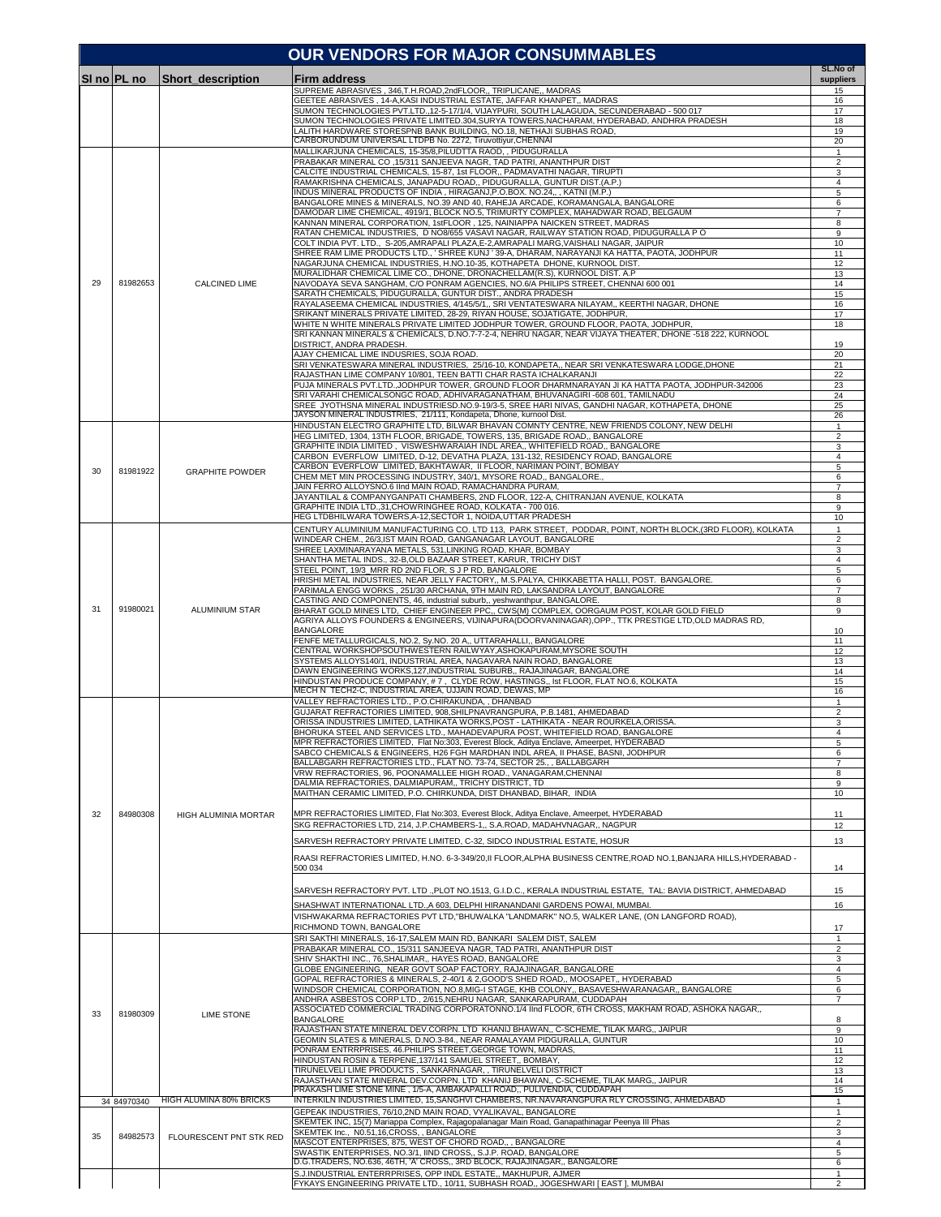|    |             |                         | <b>OUR VENDORS FOR MAJOR CONSUMMABLES</b>                                                                                                                                          |                                |
|----|-------------|-------------------------|------------------------------------------------------------------------------------------------------------------------------------------------------------------------------------|--------------------------------|
|    | SI no PL no | Short description       | Firm address                                                                                                                                                                       | SL.No of<br>suppliers          |
|    |             |                         | SUPREME ABRASIVES, 346,T.H.ROAD,2ndFLOOR,, TRIPLICANE,, MADRAS                                                                                                                     | 15                             |
|    |             |                         | GEETEE ABRASIVES , 14-A,KASI INDUSTRIAL ESTATE, JAFFAR KHANPET,, MADRAS<br>SUMON TECHNOLOGIES PVT.LTD.,12-5-17/1/4, VIJAYPURI, SOUTH LALAGUDA, SECUNDERABAD - 500 017              | 16<br>17                       |
|    |             |                         | SUMON TECHNOLOGIES PRIVATE LIMITED.304,SURYA TOWERS,NACHARAM, HYDERABAD, ANDHRA PRADESH<br>LALITH HARDWARE STORESPNB BANK BUILDING, NO.18, NETHAJI SUBHAS ROAD.                    | 18<br>19                       |
|    |             |                         | CARBORUNDUM UNIVERSAL LTDPB No. 2272, Tiruvottiyur, CHENNAI<br>MALLIKARJUNA CHEMICALS, 15-35/8, PILUDTTA RAOD, , PIDUGURALLA                                                       | 20                             |
|    |             |                         | PRABAKAR MINERAL CO, 15/311 SANJEEVA NAGR, TAD PATRI, ANANTHPUR DIST                                                                                                               | $\mathbf{1}$<br>$\overline{2}$ |
|    |             |                         | CALCITE INDUSTRIAL CHEMICALS, 15-87, 1st FLOOR,, PADMAVATHI NAGAR, TIRUPTI<br>RAMAKRISHNA CHEMICALS, JANAPADU ROAD,, PIDUGURALLA, GUNTUR DIST.(A.P.)                               | 3<br>4                         |
|    |             |                         | INDUS MINERAL PRODUCTS OF INDIA, HIRAGANJ, P.O.BOX. NO.24,,, KATNI (M.P.)<br>BANGALORE MINES & MINERALS, NO.39 AND 40, RAHEJA ARCADE, KORAMANGALA, BANGALORE                       | 5<br>6                         |
|    |             |                         | DAMODAR LIME CHEMICAL, 4919/1, BLOCK NO.5, TRIMURTY COMPLEX, MAHADWAR ROAD, BELGAUM                                                                                                | $\overline{7}$                 |
|    |             |                         | KANNAN MINERAL CORPORATION, 1stFLOOR, 125, NAINIAPPA NAICKEN STREET, MADRAS<br>RATAN CHEMICAL INDUSTRIES, D NO8/655 VASAVI NAGAR, RAILWAY STATION ROAD, PIDUGURALLA P O            | 8<br>9                         |
|    |             |                         | COLT INDIA PVT. LTD., S-205,AMRAPALI PLAZA,E-2,AMRAPALI MARG,VAISHALI NAGAR, JAIPUR<br>SHREE RAM LIME PRODUCTS LTD ' SHREE KUNJ ' 39-A. DHARAM. NARAYANJI KA HATTA. PAOTA. JODHPUR | 10<br>11                       |
|    |             |                         | NAGARJUNA CHEMICAL INDUSTRIES, H.NO.10-35, KOTHAPETA DHONE, KURNOOL DIST.                                                                                                          | 12                             |
| 29 | 81982653    | <b>CALCINED LIME</b>    | MURALIDHAR CHEMICAL LIME CO., DHONE, DRONACHELLAM(R.S), KURNOOL DIST. A.P<br>NAVODAYA SEVA SANGHAM, C/O PONRAM AGENCIES, NO.6/A PHILIPS STREET, CHENNAI 600 001                    | 13<br>14                       |
|    |             |                         | SARATH CHEMICALS, PIDUGURALLA, GUNTUR DIST., ANDRA PRADESH<br>RAYALASEEMA CHEMICAL INDUSTRIES, 4/145/5/1,, SRI VENTATESWARA NILAYAM,, KEERTHI NAGAR, DHONE                         | 15<br>16                       |
|    |             |                         | SRIKANT MINERALS PRIVATE LIMITED, 28-29, RIYAN HOUSE, SOJATIGATE, JODHPUR,<br>WHITE N WHITE MINERALS PRIVATE LIMITED JODHPUR TOWER, GROUND FLOOR, PAOTA, JODHPUR,                  | 17<br>18                       |
|    |             |                         | SRI KANNAN MINERALS & CHEMICALS, D.NO.7-7-2-4, NEHRU NAGAR, NEAR VIJAYA THEATER, DHONE -518 222, KURNOOL                                                                           |                                |
|    |             |                         | DISTRICT, ANDRA PRADESH<br>AJAY CHEMICAL LIME INDUSRIES, SOJA ROAD.                                                                                                                | 19<br>20                       |
|    |             |                         | SRI VENKATESWARA MINERAL INDUSTRIES, 25/16-10, KONDAPETA,, NEAR SRI VENKATESWARA LODGE,DHONE<br>RAJASTHAN LIME COMPANY 10/801, TEEN BATTI CHAR RASTA ICHALKARANJI                  | 21<br>22                       |
|    |             |                         | PUJA MINERALS PVT.LTD.,JODHPUR TOWER, GROUND FLOOR DHARMNARAYAN JI KA HATTA PAOTA, JODHPUR-342006                                                                                  | 23                             |
|    |             |                         | SRI VARAHI CHEMICALSONGC ROAD, ADHIVARAGANATHAM, BHUVANAGIRI -608 601, TAMILNADU<br>SREE JYOTHSNA MINERAL INDUSTRIESD.NO.9-19/3-5, SREE HARI NIVAS, GANDHI NAGAR, KOTHAPETA, DHONE | 24<br>25                       |
|    |             |                         | JAYSON MINERAL INDUSTRIES, 21/111, Kondapeta, Dhone, kurnool Dist.<br>HINDUSTAN ELECTRO GRAPHITE LTD, BILWAR BHAVAN COMNTY CENTRE, NEW FRIENDS COLONY, NEW DELHI                   | 26<br>1                        |
|    |             |                         | HEG LIMITED, 1304, 13TH FLOOR, BRIGADE, TOWERS, 135, BRIGADE ROAD,, BANGALORE                                                                                                      | $\overline{2}$                 |
|    |             |                         | GRAPHITE INDIA LIMITED, VISWESHWARAIAH INDL AREA,, WHITEFIELD ROAD,, BANGALORE<br>CARBON EVERFLOW LIMITED, D-12, DEVATHA PLAZA, 131-132, RESIDENCY ROAD, BANGALORE                 | 3<br>4                         |
| 30 | 81981922    | <b>GRAPHITE POWDER</b>  | CARBON EVERFLOW LIMITED, BAKHTAWAR, II FLOOR, NARIMAN POINT, BOMBAY<br>CHEM MET MIN PROCESSING INDUSTRY, 340/1, MYSORE ROAD., BANGALORE.,                                          | 5<br>6                         |
|    |             |                         | JAIN FERRO ALLOYSNO.6 IInd MAIN ROAD, RAMACHANDRA PURAM,<br>JAYANTILAL & COMPANYGANPATI CHAMBERS, 2ND FLOOR, 122-A, CHITRANJAN AVENUE, KOLKATA                                     | $\overline{7}$<br>8            |
|    |             |                         | GRAPHITE INDIA LTD.,31,CHOWRINGHEE ROAD, KOLKATA - 700 016.                                                                                                                        | 9                              |
|    |             |                         | HEG LTDBHILWARA TOWERS, A-12, SECTOR 1, NOIDA, UTTAR PRADESH<br>CENTURY ALUMINIUM MANUFACTURING CO. LTD 113, PARK STREET, PODDAR, POINT, NORTH BLOCK,(3RD FLOOR), KOLKATA          | 10<br>1                        |
|    |             |                         | WINDEAR CHEM., 26/3,IST MAIN ROAD, GANGANAGAR LAYOUT, BANGALORE<br>SHREE LAXMINARAYANA METALS, 531,LINKING ROAD, KHAR, BOMBAY                                                      | $\overline{2}$<br>3            |
|    |             |                         | SHANTHA METAL INDS., 32-B,OLD BAZAAR STREET, KARUR, TRICHY DIST                                                                                                                    | 4                              |
|    |             |                         | STEEL POINT, 19/3_MRR RD 2ND FLOR, S J P RD, BANGALORE<br>HRISHI METAL INDUSTRIES, NEAR JELLY FACTORY,, M.S.PALYA, CHIKKABETTA HALLI, POST. BANGALORE.                             | 5<br>6                         |
|    |             |                         | PARIMALA ENGG WORKS, 251/30 ARCHANA, 9TH MAIN RD, LAKSANDRA LAYOUT, BANGALORE<br>CASTING AND COMPONENTS, 46, industrial suburb,, yeshwanthpur, BANGALORE.                          | $\overline{7}$<br>8            |
| 31 | 91980021    | <b>ALUMINIUM STAR</b>   | BHARAT GOLD MINES LTD, CHIEF ENGINEER PPC,, CWS(M) COMPLEX, OORGAUM POST, KOLAR GOLD FIELD                                                                                         | 9                              |
|    |             |                         | AGRIYA ALLOYS FOUNDERS & ENGINEERS, VIJINAPURA(DOORVANINAGAR),OPP., TTK PRESTIGE LTD,OLD MADRAS RD,<br><b>BANGALORE</b>                                                            | 10                             |
|    |             |                         | FENFE METALLURGICALS, NO.2, Sy.NO. 20 A,, UTTARAHALLI,, BANGALORE<br>CENTRAL WORKSHOPSOUTHWESTERN RAILWYAY,ASHOKAPURAM,MYSORE SOUTH                                                | 11<br>12                       |
|    |             |                         | SYSTEMS ALLOYS140/1, INDUSTRIAL AREA, NAGAVARA NAIN ROAD, BANGALORE                                                                                                                | 13                             |
|    |             |                         | DAWN ENGINEERING WORKS,127,INDUSTRIAL SUBURB,, RAJAJINAGAR, BANGALORE<br>HINDUSTAN PRODUCE COMPANY, # 7 , CLYDE ROW, HASTINGS,, Ist FLOOR, FLAT NO.6, KOLKATA                      | 14<br>15                       |
|    |             |                         | MECH N TECH2-C, INDUSTRIAL AREA, UJJAIN ROAD, DEWAS, MP<br>VALLEY REFRACTORIES LTD., P.O.CHIRAKUNDA, , DHANBAD                                                                     | 16<br>$\mathbf{1}$             |
|    |             |                         | GUJARAT REFRACTORIES LIMITED, 908.SHILPNAVRANGPURA, P.B.1481, AHMEDABAD<br>ORISSA INDUSTRIES LIMITED, LATHIKATA WORKS, POST - LATHIKATA - NEAR ROURKELA, ORISSA                    | $\overline{2}$<br>3            |
|    |             | HIGH ALUMINIA MORTAR    | BHORUKA STEEL AND SERVICES LTD., MAHADEVAPURA POST, WHITEFIELD ROAD, BANGALORE                                                                                                     |                                |
|    |             |                         | MPR REFRACTORIES LIMITED, Flat No:303, Everest Block, Aditya Enclave, Ameerpet, HYDERABAD<br>SABCO CHEMICALS & ENGINEERS, H26 FGH MARDHAN INDL AREA, II PHASE, BASNI, JODHPUR      | 5<br>6                         |
|    |             |                         | BALLABGARH REFRACTORIES LTD., FLAT NO. 73-74, SECTOR 25., , BALLABGARH<br>VRW REFRACTORIES, 96, POONAMALLEE HIGH ROAD., VANAGARAM, CHENNAI                                         | $\overline{7}$<br>8            |
|    |             |                         | DALMIA REFRACTORIES, DALMIAPURAM,, TRICHY DISTRICT, TD<br>MAITHAN CERAMIC LIMITED, P.O. CHIRKUNDA, DIST DHANBAD, BIHAR, INDIA                                                      | 9<br>10                        |
|    |             |                         |                                                                                                                                                                                    |                                |
| 32 | 84980308    |                         | MPR REFRACTORIES LIMITED, Flat No:303, Everest Block, Aditya Enclave, Ameerpet, HYDERABAD<br>SKG REFRACTORIES LTD, 214, J.P.CHAMBERS-1., S.A.ROAD, MADAHVNAGAR., NAGPUR            | 11<br>12                       |
|    |             |                         | SARVESH REFRACTORY PRIVATE LIMITED, C-32, SIDCO INDUSTRIAL ESTATE, HOSUR                                                                                                           | 13                             |
|    |             |                         | RAASI REFRACTORIES LIMITED, H.NO. 6-3-349/20, II FLOOR, ALPHA BUSINESS CENTRE, ROAD NO.1, BANJARA HILLS, HYDERABAD -                                                               |                                |
|    |             |                         | 500 034                                                                                                                                                                            | 14                             |
|    |             |                         | SARVESH REFRACTORY PVT. LTD .,PLOT NO.1513, G.I.D.C., KERALA INDUSTRIAL ESTATE, TAL: BAVIA DISTRICT, AHMEDABAD                                                                     | 15                             |
|    |             |                         | SHASHWAT INTERNATIONAL LTD., A 603, DELPHI HIRANANDANI GARDENS POWAI, MUMBAI.<br>VISHWAKARMA REFRACTORIES PVT LTD,"BHUWALKA "LANDMARK" NO.5, WALKER LANE, (ON LANGFORD ROAD),      | 16                             |
|    |             |                         | RICHMOND TOWN, BANGALORE                                                                                                                                                           | 17                             |
|    |             |                         | SRI SAKTHI MINERALS, 16-17, SALEM MAIN RD, BANKARI SALEM DIST, SALEM<br>PRABAKAR MINERAL CO., 15/311 SANJEEVA NAGR, TAD PATRI, ANANTHPUR DIST                                      | 1<br>$\overline{2}$            |
|    |             |                         | SHIV SHAKTHI INC., 76,SHALIMAR,, HAYES ROAD, BANGALORE                                                                                                                             | 3                              |
|    |             |                         | GLOBE ENGINEERING, NEAR GOVT SOAP FACTORY, RAJAJINAGAR, BANGALORE<br>GOPAL REFRACTORIES & MINERALS, 2-40/1 & 2, GOOD'S SHED ROAD,, MOOSAPET,, HYDERABAD                            | $\overline{4}$<br>5            |
|    |             |                         | WINDSOR CHEMICAL CORPORATION, NO.8,MIG-I STAGE, KHB COLONY,, BASAVESHWARANAGAR,, BANGALORE<br>ANDHRA ASBESTOS CORP.LTD., 2/615, NEHRU NAGAR, SANKARAPURAM, CUDDAPAH                | 6<br>$\overline{7}$            |
| 33 | 81980309    | <b>LIME STONE</b>       | ASSOCIATED COMMERCIAL TRADING CORPORATONNO.1/4 IInd FLOOR, 6TH CROSS, MAKHAM ROAD, ASHOKA NAGAR,,<br><b>BANGALORE</b>                                                              | 8                              |
|    |             |                         | RAJASTHAN STATE MINERAL DEV.CORPN. LTD KHANIJ BHAWAN,, C-SCHEME, TILAK MARG,, JAIPUR                                                                                               | 9                              |
|    |             |                         | GEOMIN SLATES & MINERALS, D.NO.3-84., NEAR RAMALAYAM PIDGURALLA, GUNTUR<br>PONRAM ENTRRPRISES, 46.PHILIPS STREET, GEORGE TOWN, MADRAS,                                             | 10<br>11                       |
|    |             |                         | HINDUSTAN ROSIN & TERPENE, 137/141 SAMUEL STREET,, BOMBAY,<br>TIRUNELVELI LIME PRODUCTS, SANKARNAGAR, , TIRUNELVELI DISTRICT                                                       | 12<br>13                       |
|    |             |                         | RAJASTHAN STATE MINERAL DEV.CORPN. LTD KHANIJ BHAWAN,, C-SCHEME, TILAK MARG,, JAIPUR                                                                                               | 14                             |
|    | 34 84970340 | HIGH ALUMINA 80% BRICKS | PRAKASH LIME STONE MINE, 1/5-A, AMBAKAPALLI ROAD,, PULIVENDIA, CUDDAPAH<br>INTERKILN INDUSTRIES LIMITED, 15, SANGHVI CHAMBERS, NR. NAVARANGPURA RLY CROSSING, AHMEDABAD            | 15<br>$\mathbf{1}$             |
|    |             |                         | GEPEAK INDUSTRIES, 76/10,2ND MAIN ROAD, VYALIKAVAL, BANGALORE<br>SKEMTEK INC, 15(7) Mariappa Complex, Rajagopalanagar Main Road, Ganapathinagar Peenya III Phas                    | $\mathbf{1}$<br>$\overline{2}$ |
| 35 | 84982573    | FLOURESCENT PNT STK RED | SKEMTEK Inc., N0.51,16,CROSS, , BANGALORE                                                                                                                                          | 3                              |
|    |             |                         | MASCOT ENTERPRISES, 875, WEST OF CHORD ROAD,, , BANGALORE<br>SWASTIK ENTERPRISES, NO.3/1, IIND CROSS., S.J.P. ROAD, BANGALORE                                                      | $\overline{4}$<br>5            |
|    |             |                         | D.G.TRADERS, NO.636, 46TH, 'A' CROSS,, 3RD BLOCK, RAJAJINAGAR,, BANGALORE<br>S.J.INDUSTRIAL ENTERRPRISES, OPP INDL ESTATE,, MAKHUPUR, AJMER                                        | 6<br>$\mathbf{1}$              |
|    |             |                         | FYKAYS ENGINEERING PRIVATE LTD., 10/11, SUBHASH ROAD,, JOGESHWARI [ EAST ], MUMBAI                                                                                                 | $\overline{2}$                 |